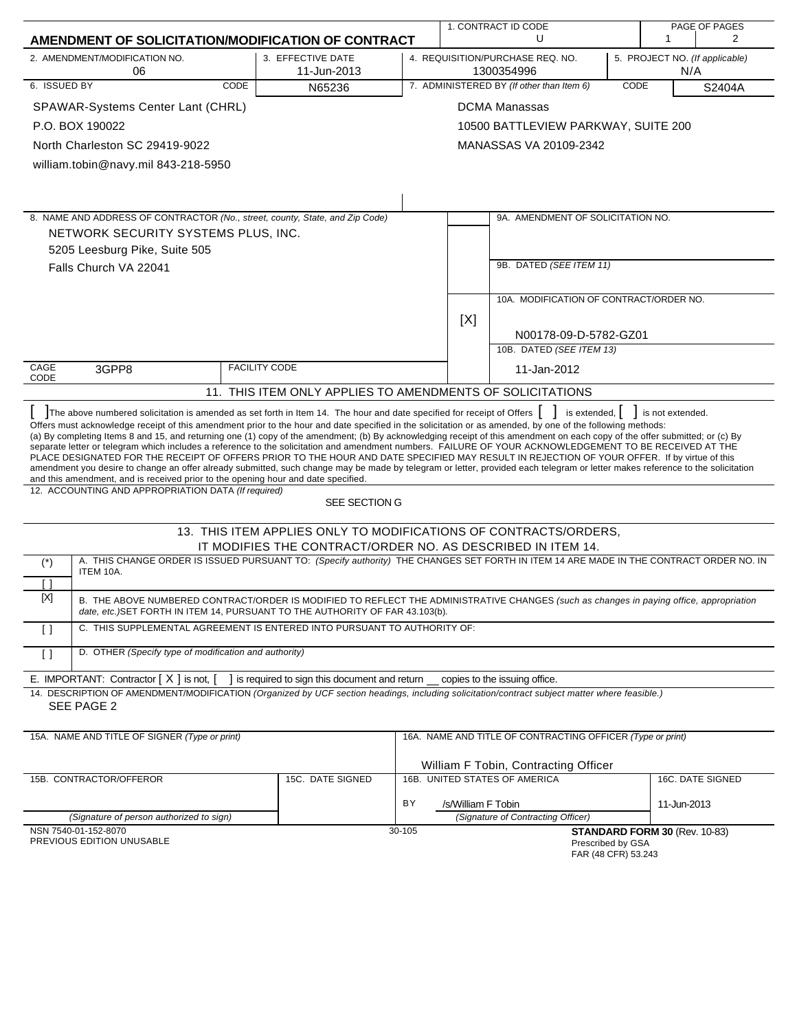|                                                                                                                                          |                                                       |                      |                                                                                                                                                                                                                                                                                                                                                                                                                                                                                                                                                                                                                                                                                                                                                                                                                                        |                                                                                         |                    | 1. CONTRACT ID CODE                                        |      |                               | PAGE OF PAGES    |
|------------------------------------------------------------------------------------------------------------------------------------------|-------------------------------------------------------|----------------------|----------------------------------------------------------------------------------------------------------------------------------------------------------------------------------------------------------------------------------------------------------------------------------------------------------------------------------------------------------------------------------------------------------------------------------------------------------------------------------------------------------------------------------------------------------------------------------------------------------------------------------------------------------------------------------------------------------------------------------------------------------------------------------------------------------------------------------------|-----------------------------------------------------------------------------------------|--------------------|------------------------------------------------------------|------|-------------------------------|------------------|
|                                                                                                                                          |                                                       |                      | AMENDMENT OF SOLICITATION/MODIFICATION OF CONTRACT                                                                                                                                                                                                                                                                                                                                                                                                                                                                                                                                                                                                                                                                                                                                                                                     |                                                                                         |                    | U                                                          |      | 1                             | 2                |
| 2. AMENDMENT/MODIFICATION NO.<br>06                                                                                                      |                                                       |                      | 3. EFFECTIVE DATE<br>11-Jun-2013                                                                                                                                                                                                                                                                                                                                                                                                                                                                                                                                                                                                                                                                                                                                                                                                       | 4. REQUISITION/PURCHASE REQ. NO.<br>5. PROJECT NO. (If applicable)<br>1300354996<br>N/A |                    |                                                            |      |                               |                  |
| 6. ISSUED BY                                                                                                                             |                                                       | CODE                 | N65236                                                                                                                                                                                                                                                                                                                                                                                                                                                                                                                                                                                                                                                                                                                                                                                                                                 |                                                                                         |                    | 7. ADMINISTERED BY (If other than Item 6)                  | CODE |                               | S2404A           |
| SPAWAR-Systems Center Lant (CHRL)                                                                                                        |                                                       |                      |                                                                                                                                                                                                                                                                                                                                                                                                                                                                                                                                                                                                                                                                                                                                                                                                                                        |                                                                                         |                    | <b>DCMA Manassas</b>                                       |      |                               |                  |
| P.O. BOX 190022                                                                                                                          |                                                       |                      |                                                                                                                                                                                                                                                                                                                                                                                                                                                                                                                                                                                                                                                                                                                                                                                                                                        |                                                                                         |                    | 10500 BATTLEVIEW PARKWAY, SUITE 200                        |      |                               |                  |
| North Charleston SC 29419-9022                                                                                                           |                                                       |                      |                                                                                                                                                                                                                                                                                                                                                                                                                                                                                                                                                                                                                                                                                                                                                                                                                                        |                                                                                         |                    | MANASSAS VA 20109-2342                                     |      |                               |                  |
| william.tobin@navy.mil 843-218-5950                                                                                                      |                                                       |                      |                                                                                                                                                                                                                                                                                                                                                                                                                                                                                                                                                                                                                                                                                                                                                                                                                                        |                                                                                         |                    |                                                            |      |                               |                  |
|                                                                                                                                          |                                                       |                      |                                                                                                                                                                                                                                                                                                                                                                                                                                                                                                                                                                                                                                                                                                                                                                                                                                        |                                                                                         |                    |                                                            |      |                               |                  |
|                                                                                                                                          |                                                       |                      |                                                                                                                                                                                                                                                                                                                                                                                                                                                                                                                                                                                                                                                                                                                                                                                                                                        |                                                                                         |                    |                                                            |      |                               |                  |
| 8. NAME AND ADDRESS OF CONTRACTOR (No., street, county, State, and Zip Code)                                                             |                                                       |                      |                                                                                                                                                                                                                                                                                                                                                                                                                                                                                                                                                                                                                                                                                                                                                                                                                                        |                                                                                         |                    | 9A. AMENDMENT OF SOLICITATION NO.                          |      |                               |                  |
| NETWORK SECURITY SYSTEMS PLUS, INC.                                                                                                      |                                                       |                      |                                                                                                                                                                                                                                                                                                                                                                                                                                                                                                                                                                                                                                                                                                                                                                                                                                        |                                                                                         |                    |                                                            |      |                               |                  |
| 5205 Leesburg Pike, Suite 505                                                                                                            |                                                       |                      |                                                                                                                                                                                                                                                                                                                                                                                                                                                                                                                                                                                                                                                                                                                                                                                                                                        |                                                                                         |                    |                                                            |      |                               |                  |
| Falls Church VA 22041                                                                                                                    |                                                       |                      |                                                                                                                                                                                                                                                                                                                                                                                                                                                                                                                                                                                                                                                                                                                                                                                                                                        |                                                                                         |                    | 9B. DATED (SEE ITEM 11)                                    |      |                               |                  |
|                                                                                                                                          |                                                       |                      |                                                                                                                                                                                                                                                                                                                                                                                                                                                                                                                                                                                                                                                                                                                                                                                                                                        |                                                                                         |                    | 10A. MODIFICATION OF CONTRACT/ORDER NO.                    |      |                               |                  |
|                                                                                                                                          |                                                       |                      |                                                                                                                                                                                                                                                                                                                                                                                                                                                                                                                                                                                                                                                                                                                                                                                                                                        |                                                                                         |                    |                                                            |      |                               |                  |
|                                                                                                                                          |                                                       |                      |                                                                                                                                                                                                                                                                                                                                                                                                                                                                                                                                                                                                                                                                                                                                                                                                                                        |                                                                                         | [X]                | N00178-09-D-5782-GZ01                                      |      |                               |                  |
|                                                                                                                                          |                                                       |                      |                                                                                                                                                                                                                                                                                                                                                                                                                                                                                                                                                                                                                                                                                                                                                                                                                                        |                                                                                         |                    | 10B. DATED (SEE ITEM 13)                                   |      |                               |                  |
| CAGE<br>3GPP8                                                                                                                            |                                                       | <b>FACILITY CODE</b> |                                                                                                                                                                                                                                                                                                                                                                                                                                                                                                                                                                                                                                                                                                                                                                                                                                        |                                                                                         |                    | 11-Jan-2012                                                |      |                               |                  |
| CODE                                                                                                                                     |                                                       |                      | 11. THIS ITEM ONLY APPLIES TO AMENDMENTS OF SOLICITATIONS                                                                                                                                                                                                                                                                                                                                                                                                                                                                                                                                                                                                                                                                                                                                                                              |                                                                                         |                    |                                                            |      |                               |                  |
|                                                                                                                                          |                                                       |                      | The above numbered solicitation is amended as set forth in Item 14. The hour and date specified for receipt of Offers                                                                                                                                                                                                                                                                                                                                                                                                                                                                                                                                                                                                                                                                                                                  |                                                                                         |                    | is extended,                                               |      | is not extended.              |                  |
| and this amendment, and is received prior to the opening hour and date specified.<br>12. ACCOUNTING AND APPROPRIATION DATA (If required) |                                                       |                      | Offers must acknowledge receipt of this amendment prior to the hour and date specified in the solicitation or as amended, by one of the following methods:<br>(a) By completing Items 8 and 15, and returning one (1) copy of the amendment; (b) By acknowledging receipt of this amendment on each copy of the offer submitted; or (c) By<br>separate letter or telegram which includes a reference to the solicitation and amendment numbers. FAILURE OF YOUR ACKNOWLEDGEMENT TO BE RECEIVED AT THE<br>PLACE DESIGNATED FOR THE RECEIPT OF OFFERS PRIOR TO THE HOUR AND DATE SPECIFIED MAY RESULT IN REJECTION OF YOUR OFFER. If by virtue of this<br>amendment you desire to change an offer already submitted, such change may be made by telegram or letter, provided each telegram or letter makes reference to the solicitation |                                                                                         |                    |                                                            |      |                               |                  |
|                                                                                                                                          |                                                       |                      | SEE SECTION G                                                                                                                                                                                                                                                                                                                                                                                                                                                                                                                                                                                                                                                                                                                                                                                                                          |                                                                                         |                    |                                                            |      |                               |                  |
|                                                                                                                                          |                                                       |                      | 13. THIS ITEM APPLIES ONLY TO MODIFICATIONS OF CONTRACTS/ORDERS,                                                                                                                                                                                                                                                                                                                                                                                                                                                                                                                                                                                                                                                                                                                                                                       |                                                                                         |                    |                                                            |      |                               |                  |
|                                                                                                                                          |                                                       |                      | IT MODIFIES THE CONTRACT/ORDER NO. AS DESCRIBED IN ITEM 14.<br>A. THIS CHANGE ORDER IS ISSUED PURSUANT TO: (Specify authority) THE CHANGES SET FORTH IN ITEM 14 ARE MADE IN THE CONTRACT ORDER NO. IN                                                                                                                                                                                                                                                                                                                                                                                                                                                                                                                                                                                                                                  |                                                                                         |                    |                                                            |      |                               |                  |
| $(\dot{z})$<br>ITEM 10A.                                                                                                                 |                                                       |                      |                                                                                                                                                                                                                                                                                                                                                                                                                                                                                                                                                                                                                                                                                                                                                                                                                                        |                                                                                         |                    |                                                            |      |                               |                  |
| $\lceil$ $\rceil$<br>$[{\sf X}]$                                                                                                         |                                                       |                      |                                                                                                                                                                                                                                                                                                                                                                                                                                                                                                                                                                                                                                                                                                                                                                                                                                        |                                                                                         |                    |                                                            |      |                               |                  |
|                                                                                                                                          |                                                       |                      | B. THE ABOVE NUMBERED CONTRACT/ORDER IS MODIFIED TO REFLECT THE ADMINISTRATIVE CHANGES (such as changes in paying office, appropriation<br>date, etc.) SET FORTH IN ITEM 14, PURSUANT TO THE AUTHORITY OF FAR 43.103(b).                                                                                                                                                                                                                                                                                                                                                                                                                                                                                                                                                                                                               |                                                                                         |                    |                                                            |      |                               |                  |
| $\lceil$                                                                                                                                 |                                                       |                      | C. THIS SUPPLEMENTAL AGREEMENT IS ENTERED INTO PURSUANT TO AUTHORITY OF:                                                                                                                                                                                                                                                                                                                                                                                                                                                                                                                                                                                                                                                                                                                                                               |                                                                                         |                    |                                                            |      |                               |                  |
| $\Box$                                                                                                                                   | D. OTHER (Specify type of modification and authority) |                      |                                                                                                                                                                                                                                                                                                                                                                                                                                                                                                                                                                                                                                                                                                                                                                                                                                        |                                                                                         |                    |                                                            |      |                               |                  |
| E. IMPORTANT: Contractor $[X]$ is not, $[$                                                                                               |                                                       |                      | I is required to sign this document and return                                                                                                                                                                                                                                                                                                                                                                                                                                                                                                                                                                                                                                                                                                                                                                                         |                                                                                         |                    | copies to the issuing office.                              |      |                               |                  |
|                                                                                                                                          |                                                       |                      | 14. DESCRIPTION OF AMENDMENT/MODIFICATION (Organized by UCF section headings, including solicitation/contract subject matter where feasible.)                                                                                                                                                                                                                                                                                                                                                                                                                                                                                                                                                                                                                                                                                          |                                                                                         |                    |                                                            |      |                               |                  |
| SEE PAGE 2                                                                                                                               |                                                       |                      |                                                                                                                                                                                                                                                                                                                                                                                                                                                                                                                                                                                                                                                                                                                                                                                                                                        |                                                                                         |                    |                                                            |      |                               |                  |
| 15A. NAME AND TITLE OF SIGNER (Type or print)                                                                                            |                                                       |                      |                                                                                                                                                                                                                                                                                                                                                                                                                                                                                                                                                                                                                                                                                                                                                                                                                                        |                                                                                         |                    | 16A. NAME AND TITLE OF CONTRACTING OFFICER (Type or print) |      |                               |                  |
|                                                                                                                                          |                                                       |                      |                                                                                                                                                                                                                                                                                                                                                                                                                                                                                                                                                                                                                                                                                                                                                                                                                                        |                                                                                         |                    |                                                            |      |                               |                  |
|                                                                                                                                          |                                                       |                      |                                                                                                                                                                                                                                                                                                                                                                                                                                                                                                                                                                                                                                                                                                                                                                                                                                        |                                                                                         |                    | William F Tobin, Contracting Officer                       |      |                               |                  |
| 15B. CONTRACTOR/OFFEROR                                                                                                                  |                                                       |                      | 15C. DATE SIGNED                                                                                                                                                                                                                                                                                                                                                                                                                                                                                                                                                                                                                                                                                                                                                                                                                       |                                                                                         |                    | 16B. UNITED STATES OF AMERICA                              |      |                               | 16C. DATE SIGNED |
|                                                                                                                                          |                                                       |                      |                                                                                                                                                                                                                                                                                                                                                                                                                                                                                                                                                                                                                                                                                                                                                                                                                                        | BY                                                                                      | /s/William F Tobin |                                                            |      | 11-Jun-2013                   |                  |
| (Signature of person authorized to sign)                                                                                                 |                                                       |                      |                                                                                                                                                                                                                                                                                                                                                                                                                                                                                                                                                                                                                                                                                                                                                                                                                                        |                                                                                         |                    | (Signature of Contracting Officer)                         |      |                               |                  |
| NSN 7540-01-152-8070<br>PREVIOUS EDITION UNUSABLE                                                                                        |                                                       |                      |                                                                                                                                                                                                                                                                                                                                                                                                                                                                                                                                                                                                                                                                                                                                                                                                                                        | 30-105                                                                                  |                    | Prescribed by GSA<br>FAR (48 CFR) 53.243                   |      | STANDARD FORM 30 (Rev. 10-83) |                  |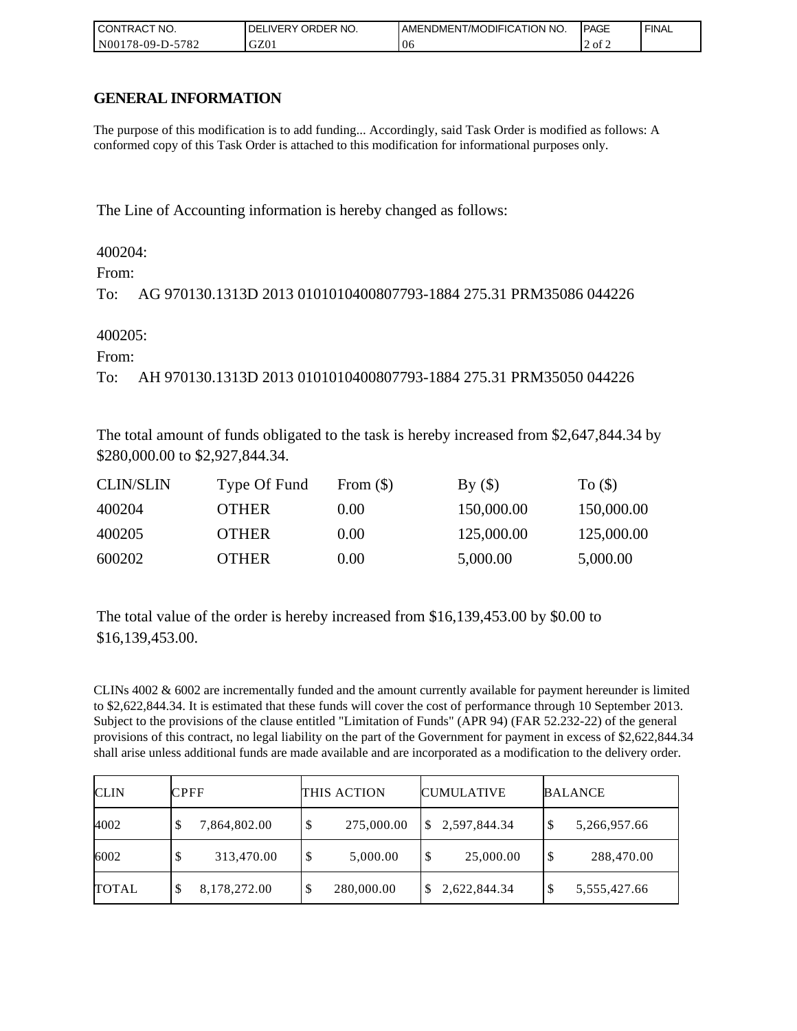| I CONTRACT NO.        | ORDER<br>NO.<br>DELI`<br>.IVERY | AMENDMENT/MODIFICATION NO. | <b>IPAGE</b> | <b>FINAL</b> |
|-----------------------|---------------------------------|----------------------------|--------------|--------------|
| N00178-09-D-5<br>5782 | GZ01                            | 06                         | .2 of 2      |              |

# **GENERAL INFORMATION**

The purpose of this modification is to add funding... Accordingly, said Task Order is modified as follows: A conformed copy of this Task Order is attached to this modification for informational purposes only.

The Line of Accounting information is hereby changed as follows:

400204:

From:

To: AG 970130.1313D 2013 0101010400807793-1884 275.31 PRM35086 044226

400205:

From:

To: AH 970130.1313D 2013 0101010400807793-1884 275.31 PRM35050 044226

The total amount of funds obligated to the task is hereby increased from \$2,647,844.34 by \$280,000.00 to \$2,927,844.34.

| <b>CLIN/SLIN</b> | Type Of Fund | From $(\$)$ | By()       | To $($ )   |
|------------------|--------------|-------------|------------|------------|
| 400204           | <b>OTHER</b> | 0.00        | 150,000.00 | 150,000.00 |
| 400205           | <b>OTHER</b> | 0.00        | 125,000.00 | 125,000.00 |
| 600202           | <b>OTHER</b> | $0.00\,$    | 5,000.00   | 5,000.00   |

The total value of the order is hereby increased from \$16,139,453.00 by \$0.00 to \$16,139,453.00.

CLINs 4002 & 6002 are incrementally funded and the amount currently available for payment hereunder is limited to \$2,622,844.34. It is estimated that these funds will cover the cost of performance through 10 September 2013. Subject to the provisions of the clause entitled "Limitation of Funds" (APR 94) (FAR 52.232-22) of the general provisions of this contract, no legal liability on the part of the Government for payment in excess of \$2,622,844.34 shall arise unless additional funds are made available and are incorporated as a modification to the delivery order.

| <b>CLIN</b>  | <b>CPFF</b>        | THIS ACTION | <b>CUMULATIVE</b> | <b>BALANCE</b>     |
|--------------|--------------------|-------------|-------------------|--------------------|
| 4002         | 7,864,802.00<br>S  | 275,000.00  | 2,597,844.34      | \$<br>5,266,957.66 |
| 6002         | 313,470.00<br>S    | 5,000.00    | 25,000.00<br>S    | \$<br>288,470.00   |
| <b>TOTAL</b> | 8,178,272.00<br>\$ | 280,000.00  | 2,622,844.34      | 5,555,427.66<br>\$ |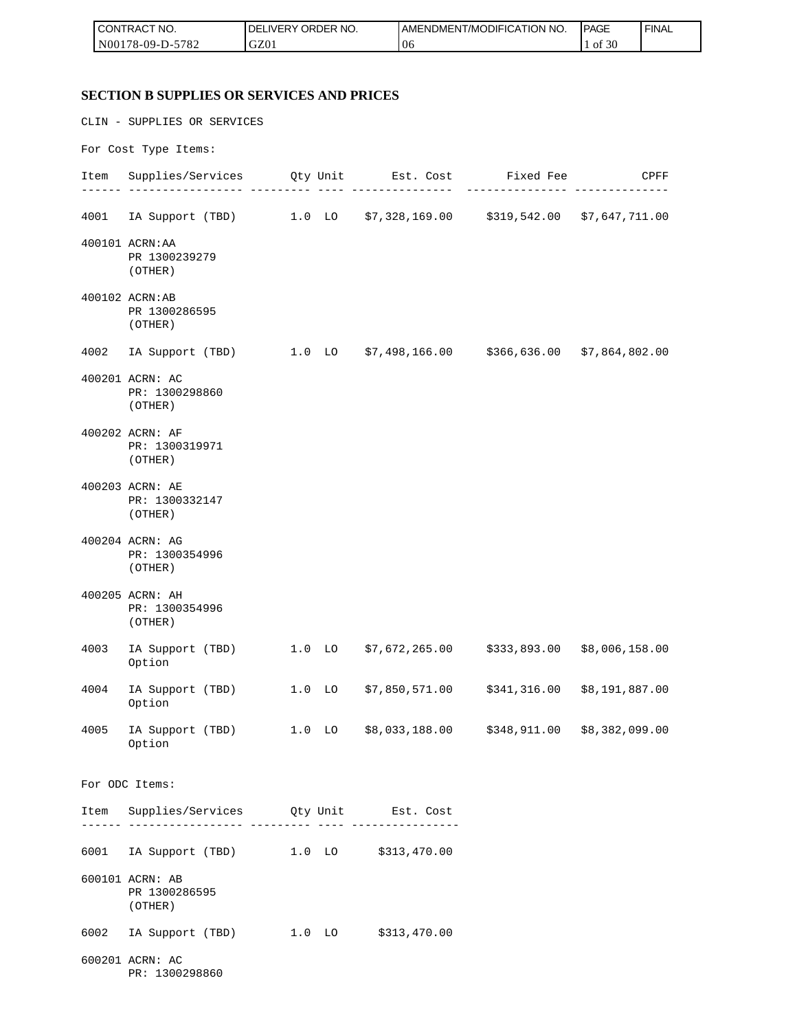| I CONTRACT NO.                             | ORDER NO.<br><b>IDELIVERY</b> | 'T/MODIFICATION NO.<br>'AMENDMEN'. | <b>PAGE</b>       | <b>FINAL</b> |
|--------------------------------------------|-------------------------------|------------------------------------|-------------------|--------------|
| N00<br>5700<br>$178 - 09 - D -$<br>$\circ$ | GZ01                          | 10 <sub>b</sub>                    | 0.20<br>0İ<br>-3U |              |

# **SECTION B SUPPLIES OR SERVICES AND PRICES**

|      | CLIN - SUPPLIES OR SERVICES                                                  |  |                             |                                                        |      |
|------|------------------------------------------------------------------------------|--|-----------------------------|--------------------------------------------------------|------|
|      | For Cost Type Items:                                                         |  |                             |                                                        |      |
|      | Item Supplies/Services Qty Unit Est. Cost Fixed Fee                          |  | - ---------------- <b>-</b> |                                                        | CPFF |
|      | 4001 IA Support (TBD) 1.0 LO \$7,328,169.00 \$319,542.00 \$7,647,711.00      |  |                             |                                                        |      |
|      | 400101 ACRN: AA<br>PR 1300239279<br>(OTHER)                                  |  |                             |                                                        |      |
|      | 400102 ACRN:AB<br>PR 1300286595<br>(OTHER)                                   |  |                             |                                                        |      |
|      | 4002 IA Support (TBD) 1.0 LO \$7,498,166.00 \$366,636.00 \$7,864,802.00      |  |                             |                                                        |      |
|      | 400201 ACRN: AC<br>PR: 1300298860<br>(OTHER)                                 |  |                             |                                                        |      |
|      | 400202 ACRN: AF<br>PR: 1300319971<br>(OTHER)                                 |  |                             |                                                        |      |
|      | 400203 ACRN: AE<br>PR: 1300332147<br>(OTHER)                                 |  |                             |                                                        |      |
|      | 400204 ACRN: AG<br>PR: 1300354996<br>(OTHER)                                 |  |                             |                                                        |      |
|      | 400205 ACRN: AH<br>PR: 1300354996<br>(OTHER)                                 |  |                             |                                                        |      |
| 4003 | IA Support (TBD)<br>Option                                                   |  |                             | $1.0$ LO $$7,672,265.00$ $$333,893.00$ $$8,006,158.00$ |      |
| 4004 | IA Support (TBD) 1.0 LO \$7,850,571.00 \$341,316.00 \$8,191,887.00<br>Option |  |                             |                                                        |      |
| 4005 | IA Support (TBD) 1.0 LO \$8,033,188.00 \$348,911.00 \$8,382,099.00<br>Option |  |                             |                                                        |      |
|      | For ODC Items:                                                               |  |                             |                                                        |      |
|      | Item Supplies/Services Qty Unit Est. Cost                                    |  |                             |                                                        |      |
|      | 6001 IA Support (TBD) 1.0 LO \$313,470.00                                    |  |                             |                                                        |      |
|      | 600101 ACRN: AB<br>PR 1300286595<br>(OTHER)                                  |  |                             |                                                        |      |
| 6002 | IA Support (TBD) 1.0 LO \$313,470.00                                         |  |                             |                                                        |      |
|      | 600201 ACRN: AC<br>PR: 1300298860                                            |  |                             |                                                        |      |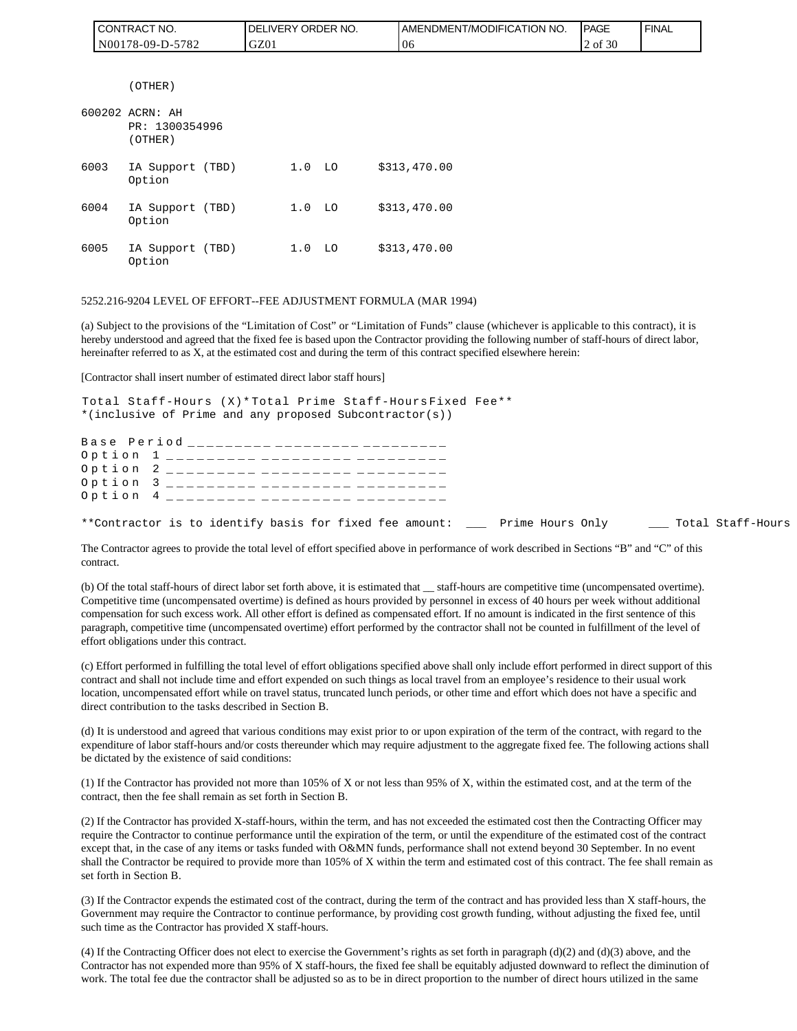| <b>I CONTRACT NO.</b> | <b>IDELIVERY ORDER NO.</b> | <b>IAMENDMENT/MODIFICATION NO.</b> | <b>PAGE</b> | ' FINAL |
|-----------------------|----------------------------|------------------------------------|-------------|---------|
| IN00178-09-D-5782     | GZ01                       | '06                                | 2 of 30     |         |

(OTHER)

|      | 600202 ACRN: AH<br>PR: 1300354996<br>(OTHER) |                   |     |              |
|------|----------------------------------------------|-------------------|-----|--------------|
|      |                                              |                   |     |              |
| 6003 | IA Support (TBD)<br>Option                   | 1.0               | LO. | \$313,470.00 |
| 6004 | IA Support (TBD)<br>Option                   | 1.0 <sub>LO</sub> |     | \$313,470.00 |
| 6005 | IA Support (TBD)<br>Option                   | 1.0               | LO. | \$313,470.00 |

#### 5252.216-9204 LEVEL OF EFFORT--FEE ADJUSTMENT FORMULA (MAR 1994)

(a) Subject to the provisions of the "Limitation of Cost" or "Limitation of Funds" clause (whichever is applicable to this contract), it is hereby understood and agreed that the fixed fee is based upon the Contractor providing the following number of staff-hours of direct labor, hereinafter referred to as X, at the estimated cost and during the term of this contract specified elsewhere herein:

[Contractor shall insert number of estimated direct labor staff hours]

Total Staff-Hours (X)\* Total Prime Staff-Hours Fixed Fee\*\* \*(inclusive of Prime and any proposed Subcontractor(s))

|  |  | Base Period __________ _________ ________ |  |  |
|--|--|-------------------------------------------|--|--|
|  |  |                                           |  |  |
|  |  | Option 2 _________ _________ _______      |  |  |
|  |  |                                           |  |  |
|  |  | Option 4 _________ _________ _______      |  |  |
|  |  |                                           |  |  |

\*\*Contractor is to identify basis for fixed fee amount: \_\_\_ Prime Hours Only \_\_\_ Total Staff-Hours

The Contractor agrees to provide the total level of effort specified above in performance of work described in Sections "B" and "C" of this contract.

(b) Of the total staff-hours of direct labor set forth above, it is estimated that \_\_ staff-hours are competitive time (uncompensated overtime). Competitive time (uncompensated overtime) is defined as hours provided by personnel in excess of 40 hours per week without additional compensation for such excess work. All other effort is defined as compensated effort. If no amount is indicated in the first sentence of this paragraph, competitive time (uncompensated overtime) effort performed by the contractor shall not be counted in fulfillment of the level of effort obligations under this contract.

(c) Effort performed in fulfilling the total level of effort obligations specified above shall only include effort performed in direct support of this contract and shall not include time and effort expended on such things as local travel from an employee's residence to their usual work location, uncompensated effort while on travel status, truncated lunch periods, or other time and effort which does not have a specific and direct contribution to the tasks described in Section B.

(d) It is understood and agreed that various conditions may exist prior to or upon expiration of the term of the contract, with regard to the expenditure of labor staff-hours and/or costs thereunder which may require adjustment to the aggregate fixed fee. The following actions shall be dictated by the existence of said conditions:

(1) If the Contractor has provided not more than 105% of X or not less than 95% of X, within the estimated cost, and at the term of the contract, then the fee shall remain as set forth in Section B.

(2) If the Contractor has provided X-staff-hours, within the term, and has not exceeded the estimated cost then the Contracting Officer may require the Contractor to continue performance until the expiration of the term, or until the expenditure of the estimated cost of the contract except that, in the case of any items or tasks funded with O&MN funds, performance shall not extend beyond 30 September. In no event shall the Contractor be required to provide more than 105% of X within the term and estimated cost of this contract. The fee shall remain as set forth in Section B.

(3) If the Contractor expends the estimated cost of the contract, during the term of the contract and has provided less than X staff-hours, the Government may require the Contractor to continue performance, by providing cost growth funding, without adjusting the fixed fee, until such time as the Contractor has provided X staff-hours.

(4) If the Contracting Officer does not elect to exercise the Government's rights as set forth in paragraph (d)(2) and (d)(3) above, and the Contractor has not expended more than 95% of X staff-hours, the fixed fee shall be equitably adjusted downward to reflect the diminution of work. The total fee due the contractor shall be adjusted so as to be in direct proportion to the number of direct hours utilized in the same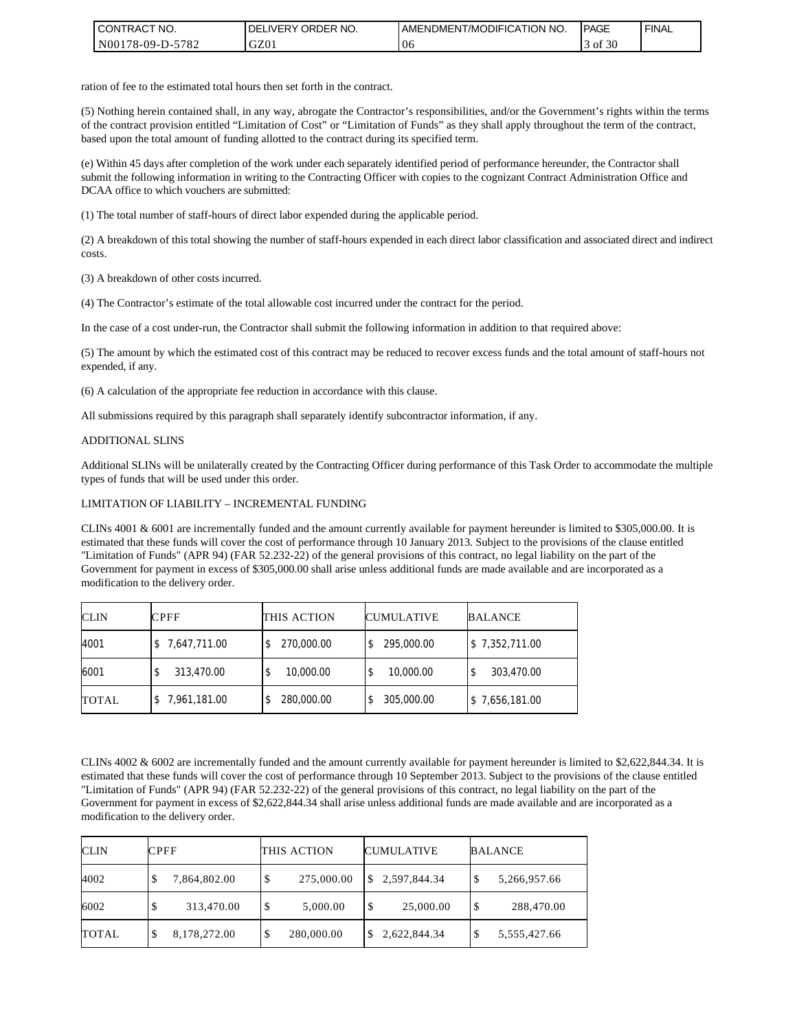| <b>CONTRACT NO.</b> | ' ORDER NO.<br><b>DELIVERY</b> | <b>I AMENDMENT/MODIFICATION NO.</b> | <b>PAGE</b>   | <b>FINAL</b> |
|---------------------|--------------------------------|-------------------------------------|---------------|--------------|
| N00178-09-D-5782    | GZ01                           | 06                                  | f $30$<br>-of |              |

ration of fee to the estimated total hours then set forth in the contract.

(5) Nothing herein contained shall, in any way, abrogate the Contractor's responsibilities, and/or the Government's rights within the terms of the contract provision entitled "Limitation of Cost" or "Limitation of Funds" as they shall apply throughout the term of the contract, based upon the total amount of funding allotted to the contract during its specified term.

(e) Within 45 days after completion of the work under each separately identified period of performance hereunder, the Contractor shall submit the following information in writing to the Contracting Officer with copies to the cognizant Contract Administration Office and DCAA office to which vouchers are submitted:

(1) The total number of staff-hours of direct labor expended during the applicable period.

(2) A breakdown of this total showing the number of staff-hours expended in each direct labor classification and associated direct and indirect costs.

(3) A breakdown of other costs incurred.

(4) The Contractor's estimate of the total allowable cost incurred under the contract for the period.

In the case of a cost under-run, the Contractor shall submit the following information in addition to that required above:

(5) The amount by which the estimated cost of this contract may be reduced to recover excess funds and the total amount of staff-hours not expended, if any.

(6) A calculation of the appropriate fee reduction in accordance with this clause.

All submissions required by this paragraph shall separately identify subcontractor information, if any.

#### ADDITIONAL SLINS

Additional SLINs will be unilaterally created by the Contracting Officer during performance of this Task Order to accommodate the multiple types of funds that will be used under this order.

#### LIMITATION OF LIABILITY – INCREMENTAL FUNDING

CLINs 4001 & 6001 are incrementally funded and the amount currently available for payment hereunder is limited to \$305,000.00. It is estimated that these funds will cover the cost of performance through 10 January 2013. Subject to the provisions of the clause entitled "Limitation of Funds" (APR 94) (FAR 52.232-22) of the general provisions of this contract, no legal liability on the part of the Government for payment in excess of \$305,000.00 shall arise unless additional funds are made available and are incorporated as a modification to the delivery order.

| <b>CLIN</b>  | <b>CPFF</b>    | THIS ACTION | <b>CUMULATIVE</b> | <b>BALANCE</b> |
|--------------|----------------|-------------|-------------------|----------------|
| 4001         | \$7,647,711.00 | 270,000.00  | 295,000.00        | \$7,352,711.00 |
| 6001         | 313,470.00     | 10,000.00   | 10,000.00         | 303,470.00     |
| <b>TOTAL</b> | 7,961,181.00   | 280,000.00  | 305,000.00        | \$7,656,181.00 |

CLINs 4002 & 6002 are incrementally funded and the amount currently available for payment hereunder is limited to \$2,622,844.34. It is estimated that these funds will cover the cost of performance through 10 September 2013. Subject to the provisions of the clause entitled "Limitation of Funds" (APR 94) (FAR 52.232-22) of the general provisions of this contract, no legal liability on the part of the Government for payment in excess of \$2,622,844.34 shall arise unless additional funds are made available and are incorporated as a modification to the delivery order.

| <b>CLIN</b>  | <b>CPFF</b>        | THIS ACTION      | <b>CUMULATIVE</b>  | <b>BALANCE</b>     |
|--------------|--------------------|------------------|--------------------|--------------------|
| 4002         | 7,864,802.00<br>۰D | 275,000.00<br>\$ | 2,597,844.34<br>S. | \$<br>5,266,957.66 |
| 6002         | 313,470.00         | 5,000.00<br>\$   | S<br>25,000.00     | 288,470.00<br>\$   |
| <b>TOTAL</b> | 8,178,272.00<br>Φ  | 280,000.00       | 2,622,844.34       | 5,555,427.66<br>Φ  |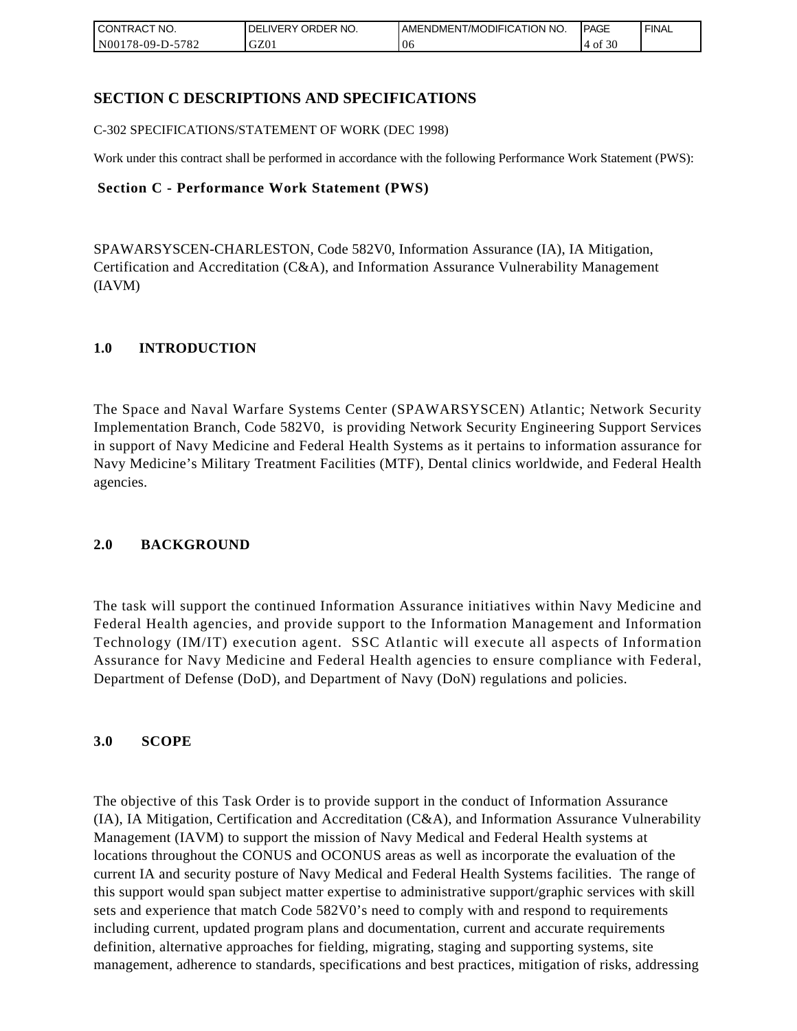| <b>CONTRACT NO.</b> | ' ORDER NO.<br><b>DELIVERY</b> | <b>JAMENDMENT/MODIFICATION NO.</b> | <b>PAGE</b>  | <b>FINAL</b> |
|---------------------|--------------------------------|------------------------------------|--------------|--------------|
| N00178-09-D-5782    | GZ01                           | 06                                 | f $30$<br>ΟĪ |              |

### **SECTION C DESCRIPTIONS AND SPECIFICATIONS**

C-302 SPECIFICATIONS/STATEMENT OF WORK (DEC 1998)

Work under this contract shall be performed in accordance with the following Performance Work Statement (PWS):

### **Section C - Performance Work Statement (PWS)**

SPAWARSYSCEN-CHARLESTON, Code 582V0, Information Assurance (IA), IA Mitigation, Certification and Accreditation (C&A), and Information Assurance Vulnerability Management (IAVM)

### **1.0 INTRODUCTION**

The Space and Naval Warfare Systems Center (SPAWARSYSCEN) Atlantic; Network Security Implementation Branch, Code 582V0, is providing Network Security Engineering Support Services in support of Navy Medicine and Federal Health Systems as it pertains to information assurance for Navy Medicine's Military Treatment Facilities (MTF), Dental clinics worldwide, and Federal Health agencies.

### **2.0 BACKGROUND**

The task will support the continued Information Assurance initiatives within Navy Medicine and Federal Health agencies, and provide support to the Information Management and Information Technology (IM/IT) execution agent. SSC Atlantic will execute all aspects of Information Assurance for Navy Medicine and Federal Health agencies to ensure compliance with Federal, Department of Defense (DoD), and Department of Navy (DoN) regulations and policies.

### **3.0 SCOPE**

The objective of this Task Order is to provide support in the conduct of Information Assurance (IA), IA Mitigation, Certification and Accreditation (C&A), and Information Assurance Vulnerability Management (IAVM) to support the mission of Navy Medical and Federal Health systems at locations throughout the CONUS and OCONUS areas as well as incorporate the evaluation of the current IA and security posture of Navy Medical and Federal Health Systems facilities. The range of this support would span subject matter expertise to administrative support/graphic services with skill sets and experience that match Code 582V0's need to comply with and respond to requirements including current, updated program plans and documentation, current and accurate requirements definition, alternative approaches for fielding, migrating, staging and supporting systems, site management, adherence to standards, specifications and best practices, mitigation of risks, addressing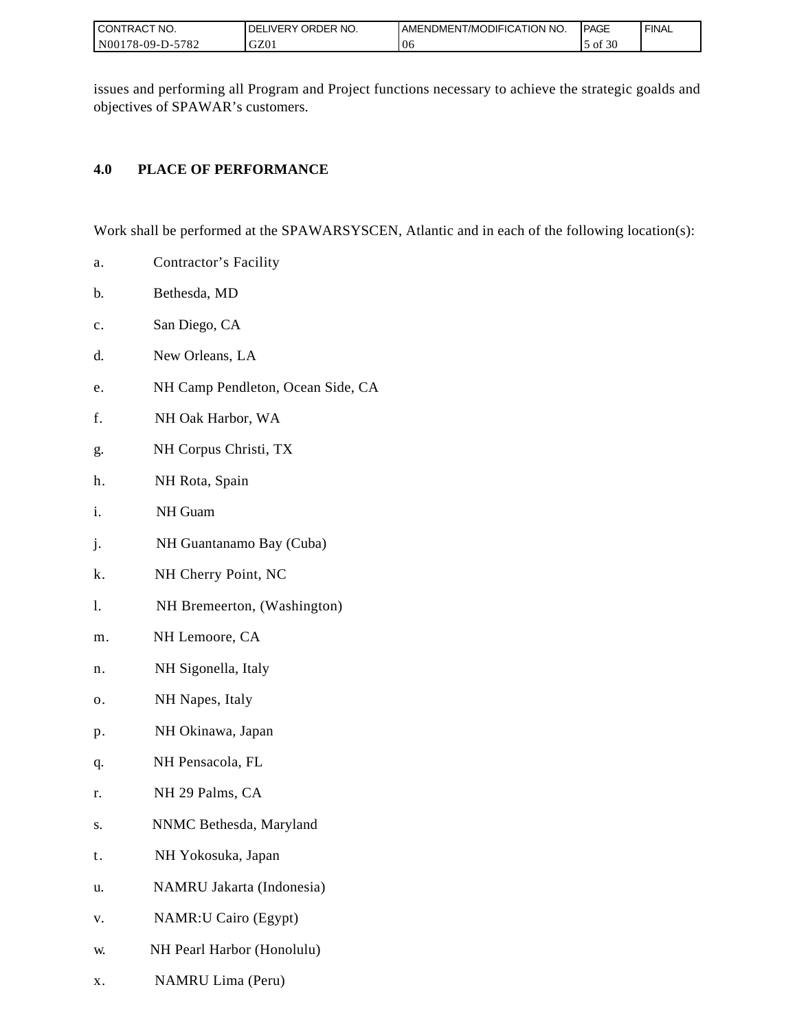| I CONTRACT NO.           | ORDER NO.<br><b>DELIVERY</b> | I AMENDMENT/MODIFICATION NO. | <b>IPAGE</b> | <b>FINAL</b> |
|--------------------------|------------------------------|------------------------------|--------------|--------------|
| N00178-09-D-5<br>$-5782$ | GZ01                         | 06                           | of $30$      |              |

issues and performing all Program and Project functions necessary to achieve the strategic goalds and objectives of SPAWAR's customers.

## **4.0 PLACE OF PERFORMANCE**

Work shall be performed at the SPAWARSYSCEN, Atlantic and in each of the following location(s):

- a. Contractor's Facility
- b. Bethesda, MD
- c. San Diego, CA
- d. New Orleans, LA
- e. NH Camp Pendleton, Ocean Side, CA
- f. NH Oak Harbor, WA
- g. NH Corpus Christi, TX
- h. NH Rota, Spain
- i. NH Guam
- j. NH Guantanamo Bay (Cuba)
- k. NH Cherry Point, NC
- l. NH Bremeerton, (Washington)
- m. NH Lemoore, CA
- n. NH Sigonella, Italy
- o. NH Napes, Italy
- p. NH Okinawa, Japan
- q. NH Pensacola, FL
- r. NH 29 Palms, CA
- s. NNMC Bethesda, Maryland
- t. NH Yokosuka, Japan
- u. NAMRU Jakarta (Indonesia)
- v. NAMR:U Cairo (Egypt)
- w. NH Pearl Harbor (Honolulu)
- x. NAMRU Lima (Peru)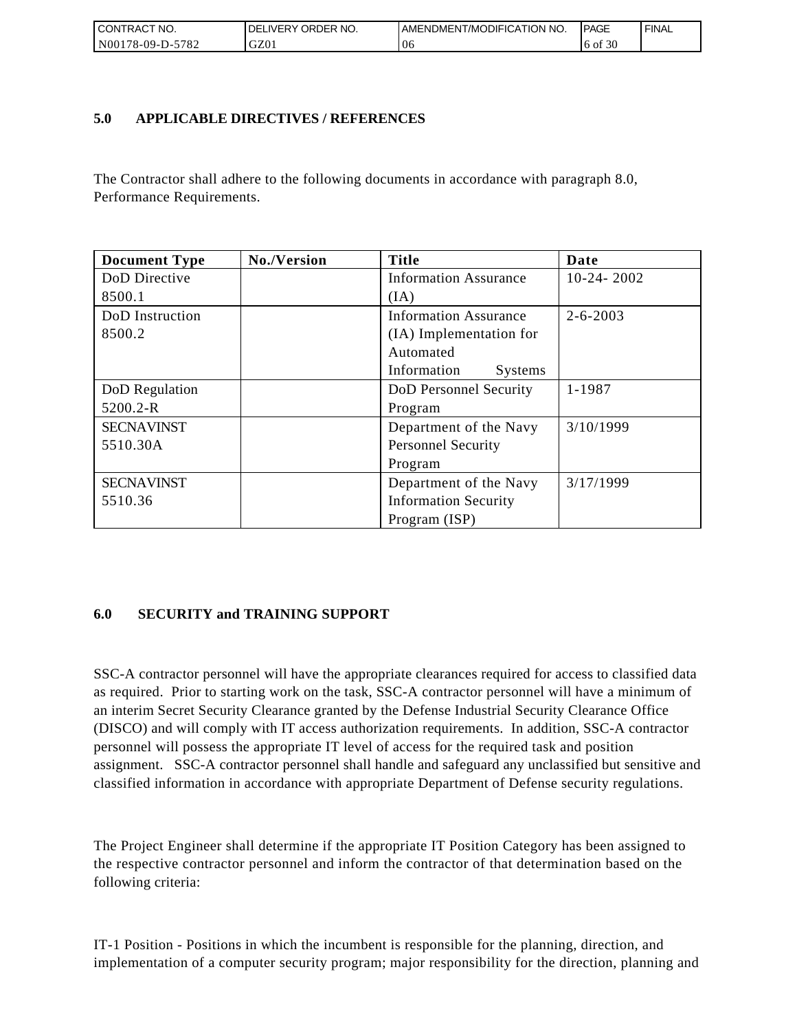| I CONTRACT NO.        | ORDER<br>NO.<br>.IVERY<br>DELI | AMENDMENT/MODIFICATION NO. | <b>IPAGE</b> | <b>FINAL</b> |
|-----------------------|--------------------------------|----------------------------|--------------|--------------|
| N00178-09-D-5<br>5782 | GZ01                           | Ub                         | 6 of 30      |              |

### **5.0 APPLICABLE DIRECTIVES / REFERENCES**

| CONTRACT NO.<br>N00178-09-D-5782 | DELIVERY ORDER NO.<br>GZ01                | AMENDMENT/MODIFICATION NO.<br>06                                                                                                                                                                                                                                                                                                                                                                                                                                                                                                                                                                                                                                                                                                  | <b>PAGE</b><br>6 of 30 | <b>FINAL</b> |
|----------------------------------|-------------------------------------------|-----------------------------------------------------------------------------------------------------------------------------------------------------------------------------------------------------------------------------------------------------------------------------------------------------------------------------------------------------------------------------------------------------------------------------------------------------------------------------------------------------------------------------------------------------------------------------------------------------------------------------------------------------------------------------------------------------------------------------------|------------------------|--------------|
|                                  |                                           |                                                                                                                                                                                                                                                                                                                                                                                                                                                                                                                                                                                                                                                                                                                                   |                        |              |
| 5.0                              | <b>APPLICABLE DIRECTIVES / REFERENCES</b> |                                                                                                                                                                                                                                                                                                                                                                                                                                                                                                                                                                                                                                                                                                                                   |                        |              |
| Performance Requirements.        |                                           | The Contractor shall adhere to the following documents in accordance with paragraph 8.0,                                                                                                                                                                                                                                                                                                                                                                                                                                                                                                                                                                                                                                          |                        |              |
| <b>Document Type</b>             | No./Version                               | <b>Title</b>                                                                                                                                                                                                                                                                                                                                                                                                                                                                                                                                                                                                                                                                                                                      | Date                   |              |
| DoD Directive<br>8500.1          |                                           | <b>Information Assurance</b><br>(IA)                                                                                                                                                                                                                                                                                                                                                                                                                                                                                                                                                                                                                                                                                              | $10-24-2002$           |              |
| DoD Instruction<br>8500.2        |                                           | <b>Information Assurance</b><br>(IA) Implementation for<br>Automated<br>Information<br><b>Systems</b>                                                                                                                                                                                                                                                                                                                                                                                                                                                                                                                                                                                                                             | $2 - 6 - 2003$         |              |
| DoD Regulation<br>5200.2-R       |                                           | DoD Personnel Security<br>Program                                                                                                                                                                                                                                                                                                                                                                                                                                                                                                                                                                                                                                                                                                 | 1-1987                 |              |
| <b>SECNAVINST</b><br>5510.30A    |                                           | Department of the Navy<br><b>Personnel Security</b><br>Program                                                                                                                                                                                                                                                                                                                                                                                                                                                                                                                                                                                                                                                                    | 3/10/1999              |              |
| <b>SECNAVINST</b><br>5510.36     |                                           | Department of the Navy<br><b>Information Security</b><br>Program (ISP)                                                                                                                                                                                                                                                                                                                                                                                                                                                                                                                                                                                                                                                            | 3/17/1999              |              |
| 6.0                              | <b>SECURITY and TRAINING SUPPORT</b>      | SSC-A contractor personnel will have the appropriate clearances required for access to classified data<br>as required. Prior to starting work on the task, SSC-A contractor personnel will have a minimum of<br>an interim Secret Security Clearance granted by the Defense Industrial Security Clearance Office<br>(DISCO) and will comply with IT access authorization requirements. In addition, SSC-A contractor<br>personnel will possess the appropriate IT level of access for the required task and position<br>assignment. SSC-A contractor personnel shall handle and safeguard any unclassified but sensitive and<br>classified information in accordance with appropriate Department of Defense security regulations. |                        |              |
| following criteria:              |                                           | The Project Engineer shall determine if the appropriate IT Position Category has been assigned to<br>the respective contractor personnel and inform the contractor of that determination based on the                                                                                                                                                                                                                                                                                                                                                                                                                                                                                                                             |                        |              |
|                                  |                                           | IT-1 Position - Positions in which the incumbent is responsible for the planning, direction, and<br>implementation of a computer security program; major responsibility for the direction, planning and                                                                                                                                                                                                                                                                                                                                                                                                                                                                                                                           |                        |              |

### **6.0 SECURITY and TRAINING SUPPORT**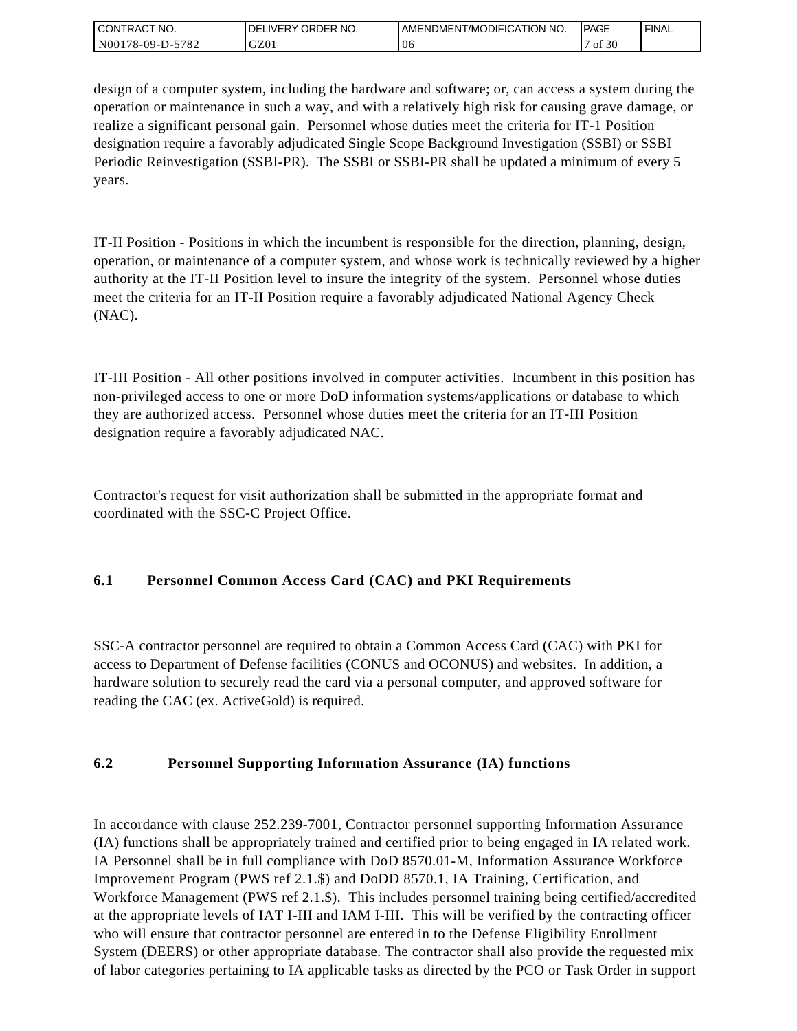| <b>CONTRACT NO.</b> | ORDER NO.<br><b>DELIVERY</b> | <b>IAMENDMENT/MODIFICATION NO.</b> | <b>PAGE</b> | <b>FINAL</b> |
|---------------------|------------------------------|------------------------------------|-------------|--------------|
| N00178-09-D-5782    | GZ01                         | ±∪€                                | f 30ء<br>ΟĪ |              |

design of a computer system, including the hardware and software; or, can access a system during the operation or maintenance in such a way, and with a relatively high risk for causing grave damage, or realize a significant personal gain. Personnel whose duties meet the criteria for IT-1 Position designation require a favorably adjudicated Single Scope Background Investigation (SSBI) or SSBI Periodic Reinvestigation (SSBI-PR). The SSBI or SSBI-PR shall be updated a minimum of every 5 years.

IT-II Position - Positions in which the incumbent is responsible for the direction, planning, design, operation, or maintenance of a computer system, and whose work is technically reviewed by a higher authority at the IT-II Position level to insure the integrity of the system. Personnel whose duties meet the criteria for an IT-II Position require a favorably adjudicated National Agency Check (NAC).

IT-III Position - All other positions involved in computer activities. Incumbent in this position has non-privileged access to one or more DoD information systems/applications or database to which they are authorized access. Personnel whose duties meet the criteria for an IT-III Position designation require a favorably adjudicated NAC.

Contractor's request for visit authorization shall be submitted in the appropriate format and coordinated with the SSC-C Project Office.

# **6.1 Personnel Common Access Card (CAC) and PKI Requirements**

SSC-A contractor personnel are required to obtain a Common Access Card (CAC) with PKI for access to Department of Defense facilities (CONUS and OCONUS) and websites. In addition, a hardware solution to securely read the card via a personal computer, and approved software for reading the CAC (ex. ActiveGold) is required.

# **6.2 Personnel Supporting Information Assurance (IA) functions**

In accordance with clause 252.239-7001, Contractor personnel supporting Information Assurance (IA) functions shall be appropriately trained and certified prior to being engaged in IA related work. IA Personnel shall be in full compliance with DoD 8570.01-M, Information Assurance Workforce Improvement Program (PWS ref 2.1.\$) and DoDD 8570.1, IA Training, Certification, and Workforce Management (PWS ref 2.1.\$). This includes personnel training being certified/accredited at the appropriate levels of IAT I-III and IAM I-III. This will be verified by the contracting officer who will ensure that contractor personnel are entered in to the Defense Eligibility Enrollment System (DEERS) or other appropriate database. The contractor shall also provide the requested mix of labor categories pertaining to IA applicable tasks as directed by the PCO or Task Order in support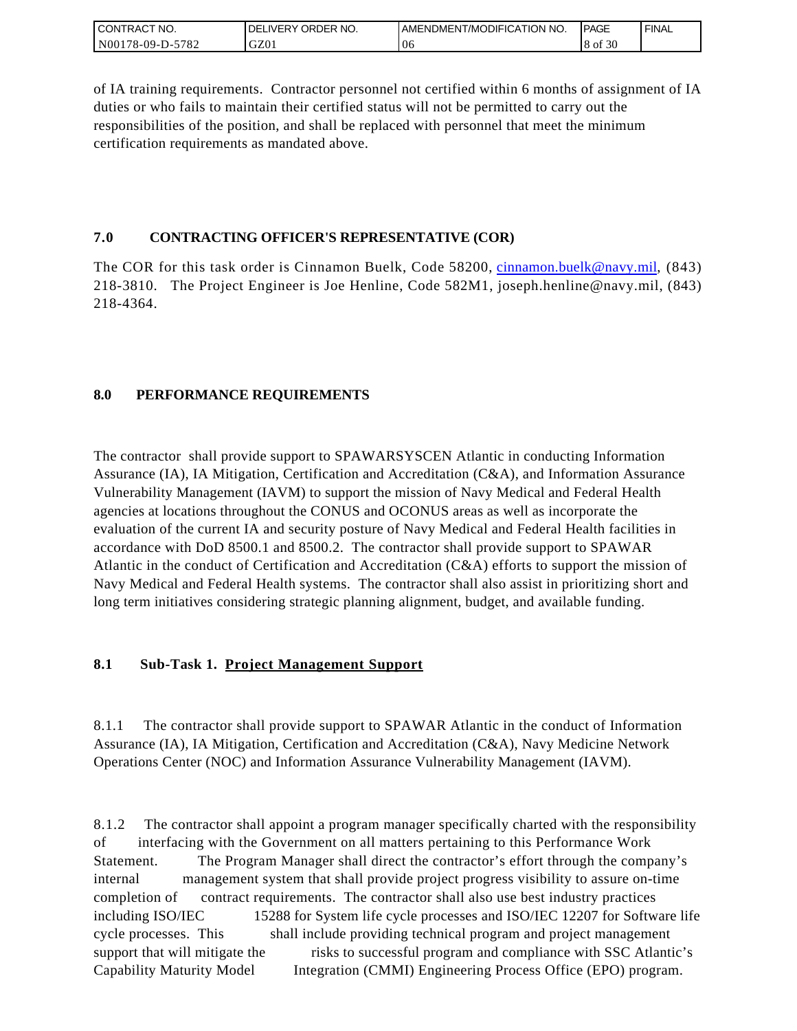| I CONTRACT NO.   | ORDER NO.<br><b>DELIVERY</b> | I AMENDMENT/MODIFICATION NO. | <b>IPAGE</b> | <b>FINAL</b> |
|------------------|------------------------------|------------------------------|--------------|--------------|
| N00178-09-D-5782 | GZ01                         | $\sim$<br>U6                 | 8 of 30      |              |

of IA training requirements. Contractor personnel not certified within 6 months of assignment of IA duties or who fails to maintain their certified status will not be permitted to carry out the responsibilities of the position, and shall be replaced with personnel that meet the minimum certification requirements as mandated above.

### **7.0 CONTRACTING OFFICER'S REPRESENTATIVE (COR)**

The COR for this task order is Cinnamon Buelk, Code 58200, [cinnamon.buelk@navy.mil,](mailto:cinnamon.buelk@navy.mil) (843) 218-3810. The Project Engineer is Joe Henline, Code 582M1, joseph.henline@navy.mil, (843) 218-4364.

# **8.0 PERFORMANCE REQUIREMENTS**

The contractor shall provide support to SPAWARSYSCEN Atlantic in conducting Information Assurance (IA), IA Mitigation, Certification and Accreditation (C&A), and Information Assurance Vulnerability Management (IAVM) to support the mission of Navy Medical and Federal Health agencies at locations throughout the CONUS and OCONUS areas as well as incorporate the evaluation of the current IA and security posture of Navy Medical and Federal Health facilities in accordance with DoD 8500.1 and 8500.2. The contractor shall provide support to SPAWAR Atlantic in the conduct of Certification and Accreditation (C&A) efforts to support the mission of Navy Medical and Federal Health systems. The contractor shall also assist in prioritizing short and long term initiatives considering strategic planning alignment, budget, and available funding.

# **8.1 Sub-Task 1. Project Management Support**

8.1.1 The contractor shall provide support to SPAWAR Atlantic in the conduct of Information Assurance (IA), IA Mitigation, Certification and Accreditation (C&A), Navy Medicine Network Operations Center (NOC) and Information Assurance Vulnerability Management (IAVM).

8.1.2 The contractor shall appoint a program manager specifically charted with the responsibility of interfacing with the Government on all matters pertaining to this Performance Work Statement. The Program Manager shall direct the contractor's effort through the company's internal management system that shall provide project progress visibility to assure on-time completion of contract requirements. The contractor shall also use best industry practices including ISO/IEC 15288 for System life cycle processes and ISO/IEC 12207 for Software life cycle processes. This shall include providing technical program and project management support that will mitigate the risks to successful program and compliance with SSC Atlantic's Capability Maturity Model Integration (CMMI) Engineering Process Office (EPO) program.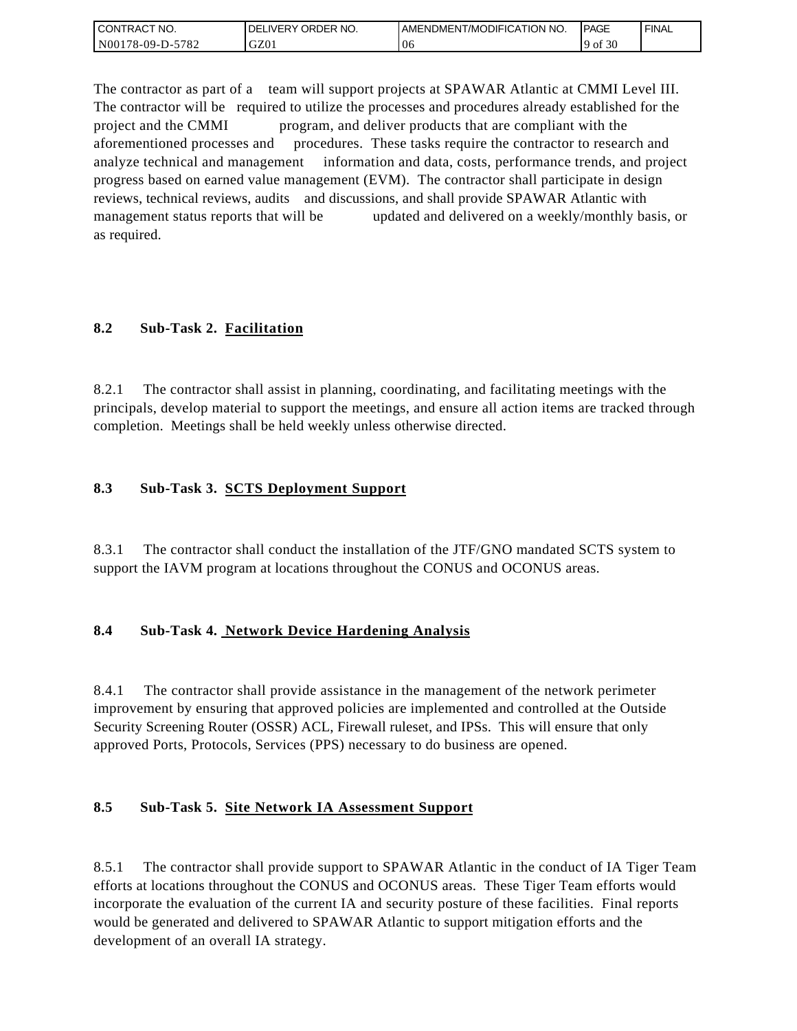| I CONTRACT NO.   | ' ORDER NO.<br><b>DELIVERY</b> | <b>JAMENDMENT/MODIFICATION NO.</b> | <b>IPAGE</b>   | <b>FINAL</b> |
|------------------|--------------------------------|------------------------------------|----------------|--------------|
| N00178-09-D-5782 | GZ01                           | 06                                 | f $30$<br>' of |              |

The contractor as part of a team will support projects at SPAWAR Atlantic at CMMI Level III. The contractor will be required to utilize the processes and procedures already established for the project and the CMMI program, and deliver products that are compliant with the aforementioned processes and procedures. These tasks require the contractor to research and analyze technical and management information and data, costs, performance trends, and project progress based on earned value management (EVM). The contractor shall participate in design reviews, technical reviews, audits and discussions, and shall provide SPAWAR Atlantic with management status reports that will be updated and delivered on a weekly/monthly basis, or as required.

# **8.2 Sub-Task 2. Facilitation**

8.2.1 The contractor shall assist in planning, coordinating, and facilitating meetings with the principals, develop material to support the meetings, and ensure all action items are tracked through completion. Meetings shall be held weekly unless otherwise directed.

### **8.3 Sub-Task 3. SCTS Deployment Support**

8.3.1 The contractor shall conduct the installation of the JTF/GNO mandated SCTS system to support the IAVM program at locations throughout the CONUS and OCONUS areas.

# **8.4 Sub-Task 4. Network Device Hardening Analysis**

8.4.1 The contractor shall provide assistance in the management of the network perimeter improvement by ensuring that approved policies are implemented and controlled at the Outside Security Screening Router (OSSR) ACL, Firewall ruleset, and IPSs. This will ensure that only approved Ports, Protocols, Services (PPS) necessary to do business are opened.

# **8.5 Sub-Task 5. Site Network IA Assessment Support**

8.5.1 The contractor shall provide support to SPAWAR Atlantic in the conduct of IA Tiger Team efforts at locations throughout the CONUS and OCONUS areas. These Tiger Team efforts would incorporate the evaluation of the current IA and security posture of these facilities. Final reports would be generated and delivered to SPAWAR Atlantic to support mitigation efforts and the development of an overall IA strategy.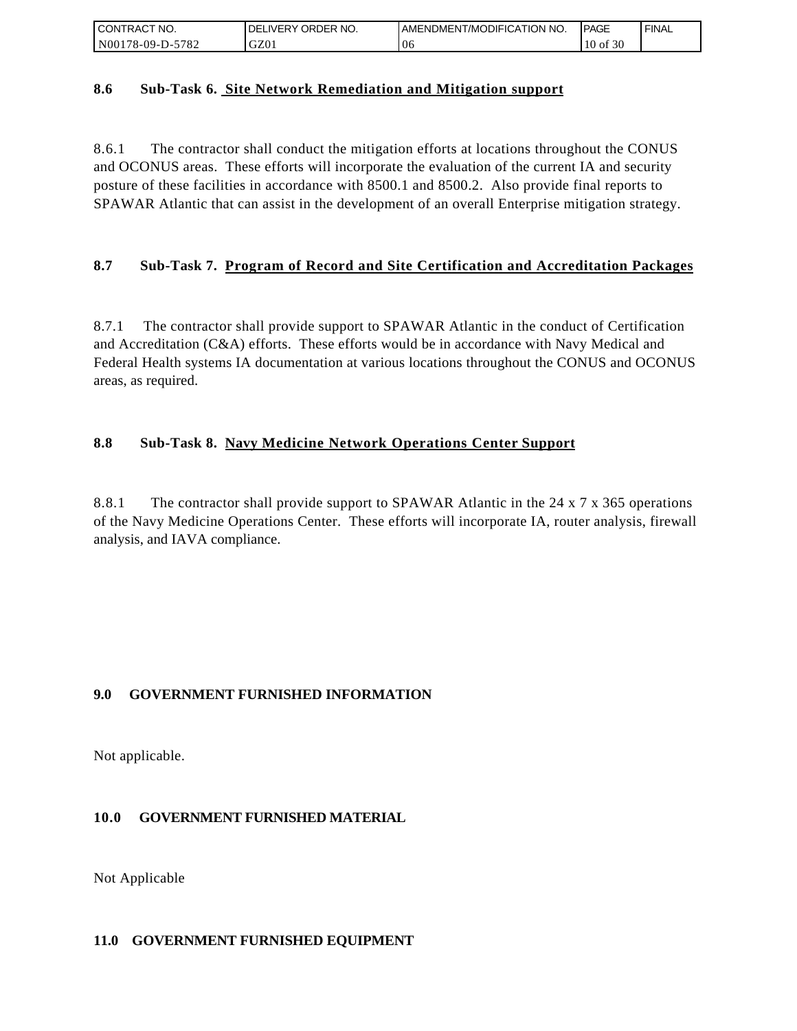| I CONTRACT NO.   | <b>IDELIVERY ORDER NO.</b> | <b>I AMENDMENT/MODIFICATION NO.</b> | <b>IPAGE</b>    | ' FINAL |
|------------------|----------------------------|-------------------------------------|-----------------|---------|
| N00178-09-D-5782 | GZ01                       | -06                                 | f 30<br>$10$ of |         |

### **8.6 Sub-Task 6. Site Network Remediation and Mitigation support**

8.6.1 The contractor shall conduct the mitigation efforts at locations throughout the CONUS and OCONUS areas. These efforts will incorporate the evaluation of the current IA and security posture of these facilities in accordance with 8500.1 and 8500.2. Also provide final reports to SPAWAR Atlantic that can assist in the development of an overall Enterprise mitigation strategy.

# **8.7 Sub-Task 7. Program of Record and Site Certification and Accreditation Packages**

8.7.1 The contractor shall provide support to SPAWAR Atlantic in the conduct of Certification and Accreditation (C&A) efforts. These efforts would be in accordance with Navy Medical and Federal Health systems IA documentation at various locations throughout the CONUS and OCONUS areas, as required.

### **8.8 Sub-Task 8. Navy Medicine Network Operations Center Support**

8.8.1 The contractor shall provide support to SPAWAR Atlantic in the 24 x 7 x 365 operations of the Navy Medicine Operations Center. These efforts will incorporate IA, router analysis, firewall analysis, and IAVA compliance.

# **9.0 GOVERNMENT FURNISHED INFORMATION**

Not applicable.

### **10.0 GOVERNMENT FURNISHED MATERIAL**

Not Applicable

### **11.0 GOVERNMENT FURNISHED EQUIPMENT**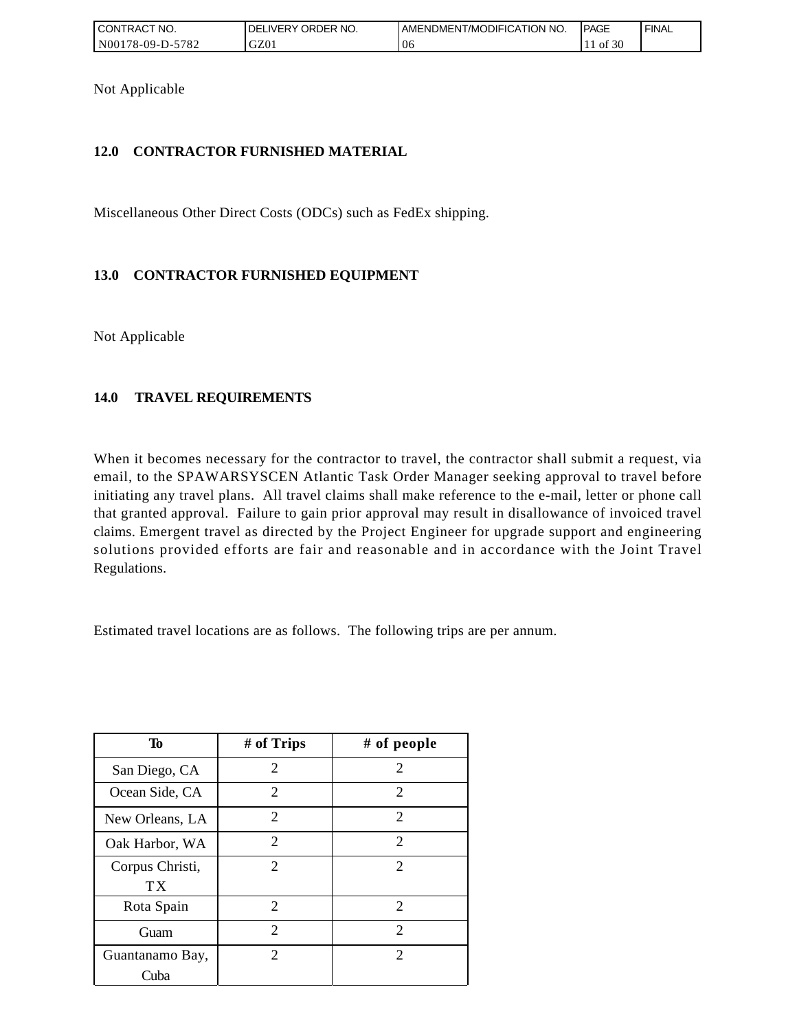| I CONTRACT NO.   | <b>IDELIVERY ORDER NO.</b> | <b>I AMENDMENT/MODIFICATION NO.</b> | <b>PAGE</b> | ' FINAL |
|------------------|----------------------------|-------------------------------------|-------------|---------|
| N00178-09-D-5782 | GZ01                       | 06                                  | of 30       |         |

Not Applicable

## **12.0 CONTRACTOR FURNISHED MATERIAL**

Miscellaneous Other Direct Costs (ODCs) such as FedEx shipping.

# **13.0 CONTRACTOR FURNISHED EQUIPMENT**

Not Applicable

# **14.0 TRAVEL REQUIREMENTS**

When it becomes necessary for the contractor to travel, the contractor shall submit a request, via email, to the SPAWARSYSCEN Atlantic Task Order Manager seeking approval to travel before initiating any travel plans. All travel claims shall make reference to the e-mail, letter or phone call that granted approval. Failure to gain prior approval may result in disallowance of invoiced travel claims. Emergent travel as directed by the Project Engineer for upgrade support and engineering solutions provided efforts are fair and reasonable and in accordance with the Joint Travel Regulations.

Estimated travel locations are as follows. The following trips are per annum.

| To              | # of Trips                  | # of people                 |
|-----------------|-----------------------------|-----------------------------|
| San Diego, CA   | 2                           | 2                           |
| Ocean Side, CA  | $\overline{2}$              | 2                           |
| New Orleans, LA | $\overline{c}$              | 2                           |
| Oak Harbor, WA  | $\mathcal{D}_{\mathcal{L}}$ | 2                           |
| Corpus Christi, | 2                           | 2                           |
| TX              |                             |                             |
| Rota Spain      | $\overline{c}$              | 2                           |
| Guam            | $\mathcal{D}_{\mathcal{L}}$ | $\mathcal{D}_{\mathcal{L}}$ |
| Guantanamo Bay, | $\overline{2}$              | 2                           |
| Cuba            |                             |                             |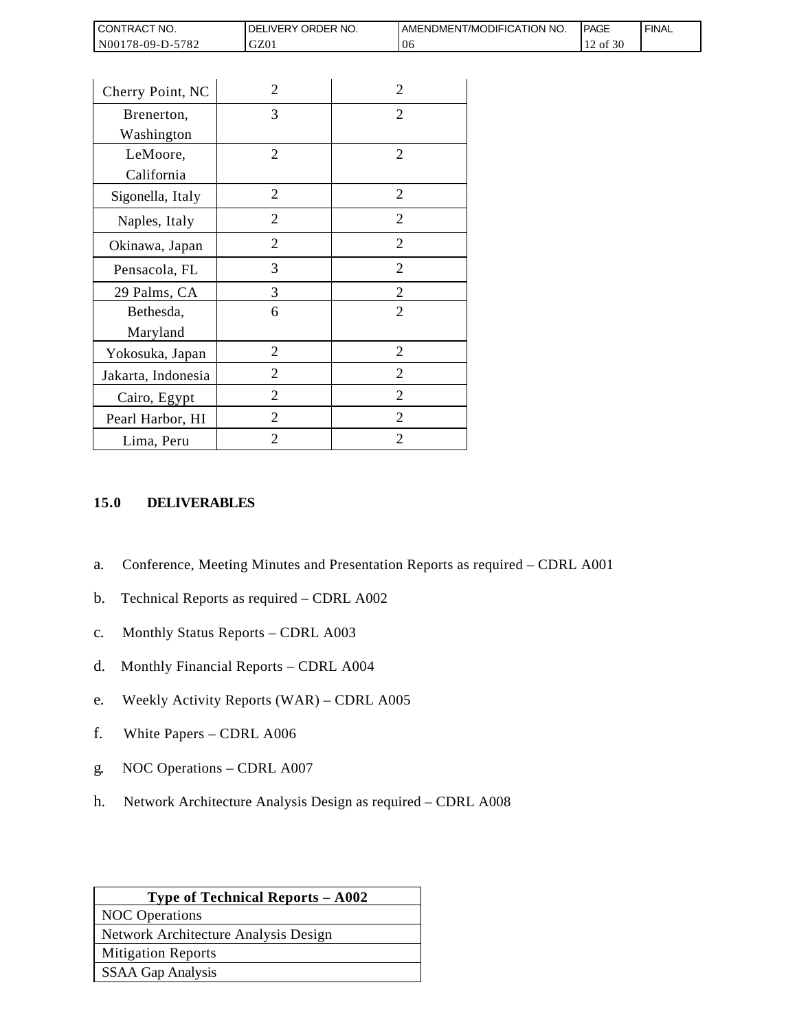| <b>CONTRACT NO.</b> | ' ORDER NO.<br><b>DELIVERY</b> | <b>JAMENDMENT/MODIFICATION NO.</b> | <b>IPAGE</b> | <b>FINAL</b> |
|---------------------|--------------------------------|------------------------------------|--------------|--------------|
| N00178-09-D-5782    | GZ01                           | 06                                 | of 30        |              |

| Cherry Point, NC   | 2              | $\overline{2}$ |
|--------------------|----------------|----------------|
| Brenerton,         | 3              | 2              |
| Washington         |                |                |
| LeMoore,           | $\overline{2}$ | 2              |
| California         |                |                |
| Sigonella, Italy   | 2              | 2              |
| Naples, Italy      | $\overline{2}$ | $\overline{2}$ |
| Okinawa, Japan     | 2              | $\overline{2}$ |
| Pensacola, FL      | 3              | $\overline{2}$ |
| 29 Palms, CA       | 3              | $\overline{2}$ |
| Bethesda,          | 6              | $\overline{2}$ |
| Maryland           |                |                |
| Yokosuka, Japan    | $\overline{2}$ | 2              |
| Jakarta, Indonesia | 2              | 2              |
| Cairo, Egypt       | $\overline{2}$ | $\overline{2}$ |
| Pearl Harbor, HI   | 2              | $\overline{2}$ |
| Lima, Peru         | $\overline{2}$ | $\overline{2}$ |

# **15.0 DELIVERABLES**

- a. Conference, Meeting Minutes and Presentation Reports as required CDRL A001
- b. Technical Reports as required CDRL A002
- c. Monthly Status Reports CDRL A003
- d. Monthly Financial Reports CDRL A004
- e. Weekly Activity Reports (WAR) CDRL A005
- f. White Papers CDRL A006
- g. NOC Operations CDRL A007
- h. Network Architecture Analysis Design as required CDRL A008

| <b>Type of Technical Reports - A002</b> |
|-----------------------------------------|
| <b>NOC</b> Operations                   |
| Network Architecture Analysis Design    |
| <b>Mitigation Reports</b>               |
| SSAA Gap Analysis                       |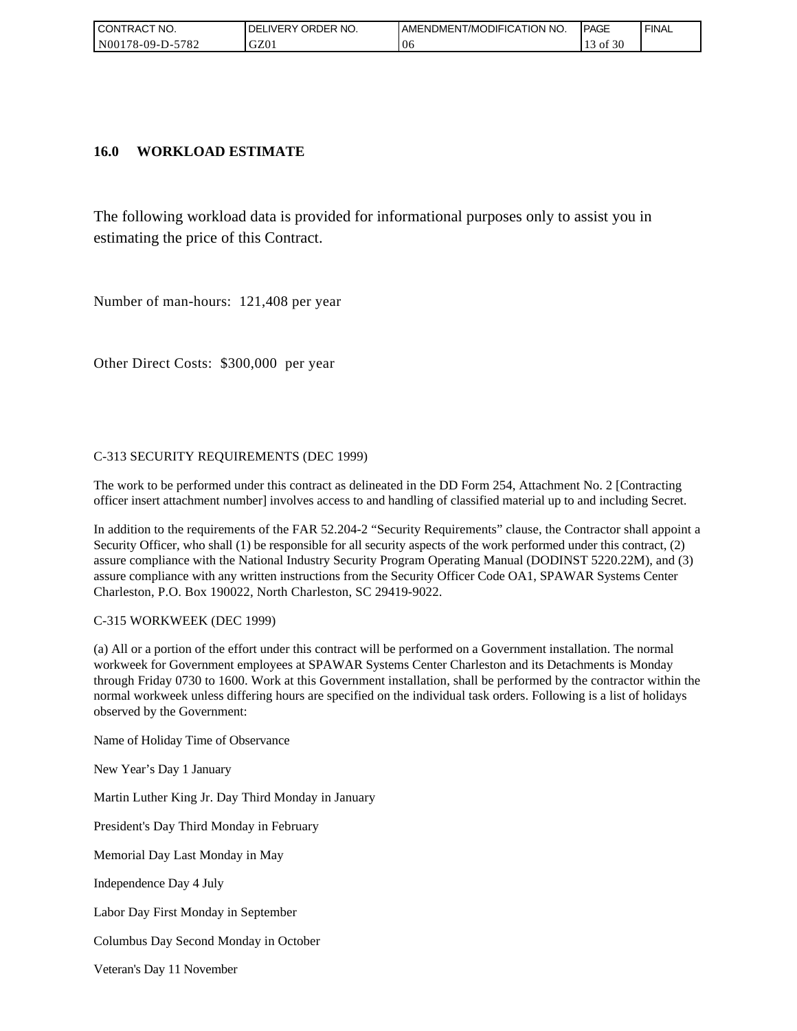| CONTRACT NO.               | ORDER NO.<br><b>DELIVERY</b> | <b>IAMENDMENT/MODIFICATION NO.</b> | <b>IPAGE</b> | <b>FINAL</b> |
|----------------------------|------------------------------|------------------------------------|--------------|--------------|
| $-5782$<br>  N00178-09-D-5 | GZ01                         | 06                                 | f 30<br>ΟĪ   |              |

### **16.0 WORKLOAD ESTIMATE**

The following workload data is provided for informational purposes only to assist you in estimating the price of this Contract.

Number of man-hours: 121,408 per year

Other Direct Costs: \$300,000 per year

### C-313 SECURITY REQUIREMENTS (DEC 1999)

The work to be performed under this contract as delineated in the DD Form 254, Attachment No. 2 [Contracting officer insert attachment number] involves access to and handling of classified material up to and including Secret.

In addition to the requirements of the FAR 52.204-2 "Security Requirements" clause, the Contractor shall appoint a Security Officer, who shall (1) be responsible for all security aspects of the work performed under this contract, (2) assure compliance with the National Industry Security Program Operating Manual (DODINST 5220.22M), and (3) assure compliance with any written instructions from the Security Officer Code OA1, SPAWAR Systems Center Charleston, P.O. Box 190022, North Charleston, SC 29419-9022.

### C-315 WORKWEEK (DEC 1999)

(a) All or a portion of the effort under this contract will be performed on a Government installation. The normal workweek for Government employees at SPAWAR Systems Center Charleston and its Detachments is Monday through Friday 0730 to 1600. Work at this Government installation, shall be performed by the contractor within the normal workweek unless differing hours are specified on the individual task orders. Following is a list of holidays observed by the Government:

Name of Holiday Time of Observance

New Year's Day 1 January

Martin Luther King Jr. Day Third Monday in January

President's Day Third Monday in February

Memorial Day Last Monday in May

Independence Day 4 July

Labor Day First Monday in September

Columbus Day Second Monday in October

Veteran's Day 11 November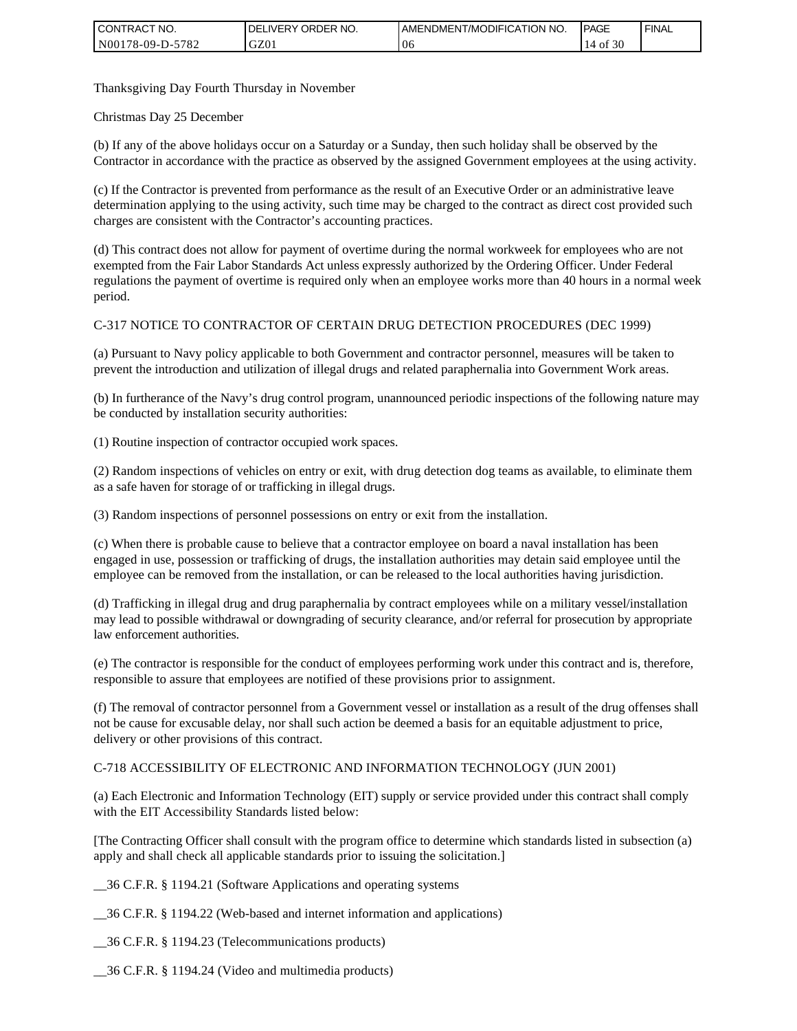| I CONTRACT NO.   | <b>IDELIVERY ORDER NO.</b> | <b>I AMENDMENT/MODIFICATION NO.</b> | <b>PAGE</b> | ' FINAL |
|------------------|----------------------------|-------------------------------------|-------------|---------|
| N00178-09-D-5782 | GZ01                       | 06                                  | f 30<br>0Ť  |         |

Thanksgiving Day Fourth Thursday in November

Christmas Day 25 December

(b) If any of the above holidays occur on a Saturday or a Sunday, then such holiday shall be observed by the Contractor in accordance with the practice as observed by the assigned Government employees at the using activity.

(c) If the Contractor is prevented from performance as the result of an Executive Order or an administrative leave determination applying to the using activity, such time may be charged to the contract as direct cost provided such charges are consistent with the Contractor's accounting practices.

(d) This contract does not allow for payment of overtime during the normal workweek for employees who are not exempted from the Fair Labor Standards Act unless expressly authorized by the Ordering Officer. Under Federal regulations the payment of overtime is required only when an employee works more than 40 hours in a normal week period.

### C-317 NOTICE TO CONTRACTOR OF CERTAIN DRUG DETECTION PROCEDURES (DEC 1999)

(a) Pursuant to Navy policy applicable to both Government and contractor personnel, measures will be taken to prevent the introduction and utilization of illegal drugs and related paraphernalia into Government Work areas.

(b) In furtherance of the Navy's drug control program, unannounced periodic inspections of the following nature may be conducted by installation security authorities:

(1) Routine inspection of contractor occupied work spaces.

(2) Random inspections of vehicles on entry or exit, with drug detection dog teams as available, to eliminate them as a safe haven for storage of or trafficking in illegal drugs.

(3) Random inspections of personnel possessions on entry or exit from the installation.

(c) When there is probable cause to believe that a contractor employee on board a naval installation has been engaged in use, possession or trafficking of drugs, the installation authorities may detain said employee until the employee can be removed from the installation, or can be released to the local authorities having jurisdiction.

(d) Trafficking in illegal drug and drug paraphernalia by contract employees while on a military vessel/installation may lead to possible withdrawal or downgrading of security clearance, and/or referral for prosecution by appropriate law enforcement authorities.

(e) The contractor is responsible for the conduct of employees performing work under this contract and is, therefore, responsible to assure that employees are notified of these provisions prior to assignment.

(f) The removal of contractor personnel from a Government vessel or installation as a result of the drug offenses shall not be cause for excusable delay, nor shall such action be deemed a basis for an equitable adjustment to price, delivery or other provisions of this contract.

### C-718 ACCESSIBILITY OF ELECTRONIC AND INFORMATION TECHNOLOGY (JUN 2001)

(a) Each Electronic and Information Technology (EIT) supply or service provided under this contract shall comply with the EIT Accessibility Standards listed below:

[The Contracting Officer shall consult with the program office to determine which standards listed in subsection (a) apply and shall check all applicable standards prior to issuing the solicitation.]

\_\_36 C.F.R. § 1194.21 (Software Applications and operating systems

\_\_36 C.F.R. § 1194.22 (Web-based and internet information and applications)

\_\_36 C.F.R. § 1194.23 (Telecommunications products)

\_\_36 C.F.R. § 1194.24 (Video and multimedia products)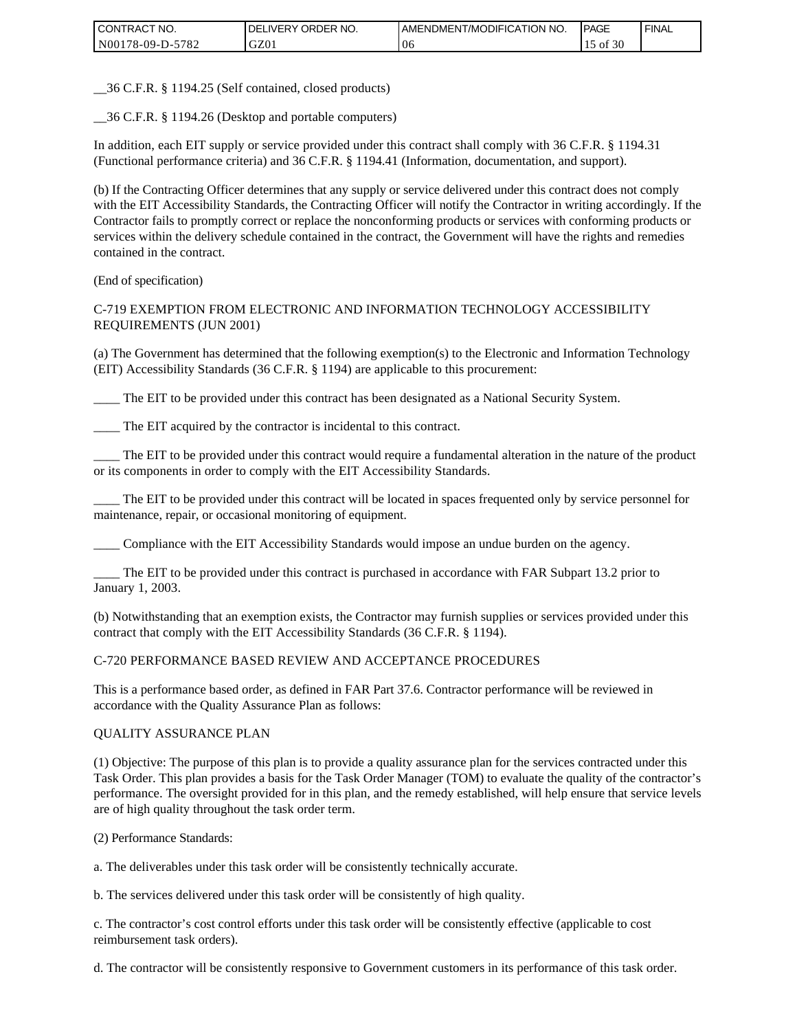| I CONTRACT NO.   | `NO.<br>DELIVERY ORDER | I AMENDMENT/MODIFICATION NO. | <b>PAGE</b> | ' FINAL |
|------------------|------------------------|------------------------------|-------------|---------|
| N00178-09-D-5782 | GZ01                   | 0 <sup>t</sup>               | 30<br>οt    |         |

\_\_36 C.F.R. § 1194.25 (Self contained, closed products)

\_\_36 C.F.R. § 1194.26 (Desktop and portable computers)

In addition, each EIT supply or service provided under this contract shall comply with 36 C.F.R. § 1194.31 (Functional performance criteria) and 36 C.F.R. § 1194.41 (Information, documentation, and support).

(b) If the Contracting Officer determines that any supply or service delivered under this contract does not comply with the EIT Accessibility Standards, the Contracting Officer will notify the Contractor in writing accordingly. If the Contractor fails to promptly correct or replace the nonconforming products or services with conforming products or services within the delivery schedule contained in the contract, the Government will have the rights and remedies contained in the contract.

(End of specification)

### C-719 EXEMPTION FROM ELECTRONIC AND INFORMATION TECHNOLOGY ACCESSIBILITY REQUIREMENTS (JUN 2001)

(a) The Government has determined that the following exemption(s) to the Electronic and Information Technology (EIT) Accessibility Standards (36 C.F.R. § 1194) are applicable to this procurement:

The EIT to be provided under this contract has been designated as a National Security System.

The EIT acquired by the contractor is incidental to this contract.

\_\_\_\_ The EIT to be provided under this contract would require a fundamental alteration in the nature of the product or its components in order to comply with the EIT Accessibility Standards.

\_\_\_\_ The EIT to be provided under this contract will be located in spaces frequented only by service personnel for maintenance, repair, or occasional monitoring of equipment.

\_\_\_\_ Compliance with the EIT Accessibility Standards would impose an undue burden on the agency.

\_\_\_\_ The EIT to be provided under this contract is purchased in accordance with FAR Subpart 13.2 prior to January 1, 2003.

(b) Notwithstanding that an exemption exists, the Contractor may furnish supplies or services provided under this contract that comply with the EIT Accessibility Standards (36 C.F.R. § 1194).

### C-720 PERFORMANCE BASED REVIEW AND ACCEPTANCE PROCEDURES

This is a performance based order, as defined in FAR Part 37.6. Contractor performance will be reviewed in accordance with the Quality Assurance Plan as follows:

### QUALITY ASSURANCE PLAN

(1) Objective: The purpose of this plan is to provide a quality assurance plan for the services contracted under this Task Order. This plan provides a basis for the Task Order Manager (TOM) to evaluate the quality of the contractor's performance. The oversight provided for in this plan, and the remedy established, will help ensure that service levels are of high quality throughout the task order term.

(2) Performance Standards:

a. The deliverables under this task order will be consistently technically accurate.

b. The services delivered under this task order will be consistently of high quality.

c. The contractor's cost control efforts under this task order will be consistently effective (applicable to cost reimbursement task orders).

d. The contractor will be consistently responsive to Government customers in its performance of this task order.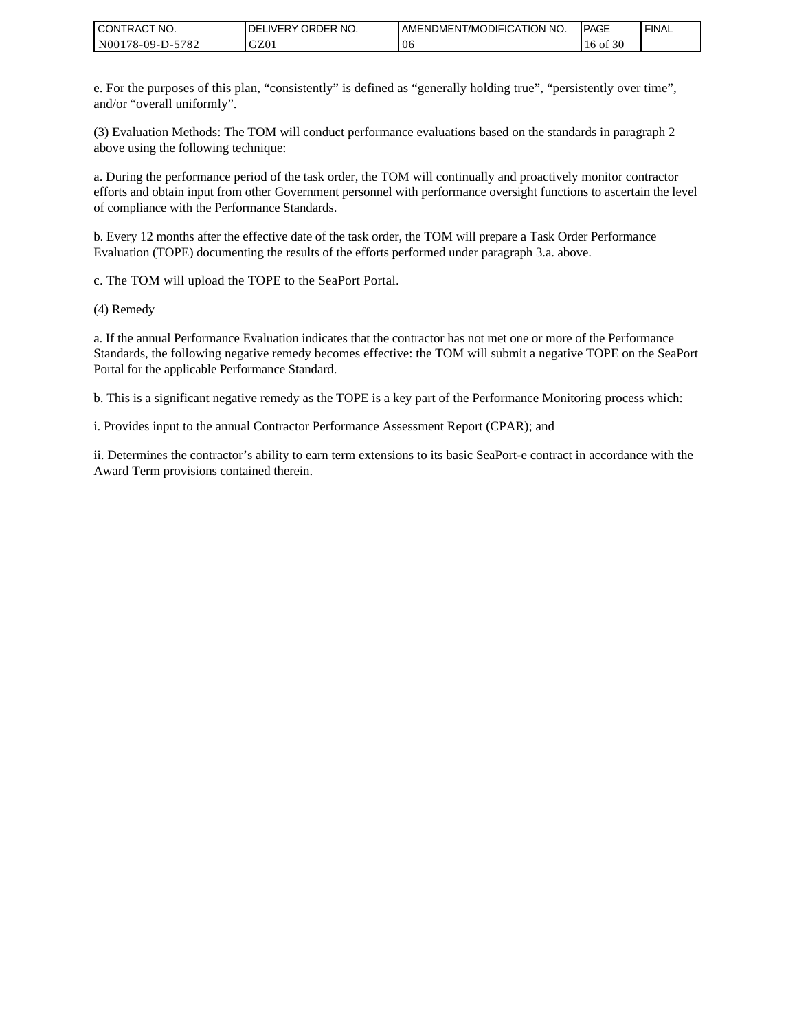| I CONTRACT NO.   | `NO.<br><b>DELIVERY ORDER</b> | <b>I AMENDMENT/MODIFICATION NO.</b> | <b>PAGE</b>       | ' FINAL |
|------------------|-------------------------------|-------------------------------------|-------------------|---------|
| N00178-09-D-5782 | GZ01                          | 06                                  | f 30<br>۰of<br>16 |         |

e. For the purposes of this plan, "consistently" is defined as "generally holding true", "persistently over time", and/or "overall uniformly".

(3) Evaluation Methods: The TOM will conduct performance evaluations based on the standards in paragraph 2 above using the following technique:

a. During the performance period of the task order, the TOM will continually and proactively monitor contractor efforts and obtain input from other Government personnel with performance oversight functions to ascertain the level of compliance with the Performance Standards.

b. Every 12 months after the effective date of the task order, the TOM will prepare a Task Order Performance Evaluation (TOPE) documenting the results of the efforts performed under paragraph 3.a. above.

c. The TOM will upload the TOPE to the SeaPort Portal.

(4) Remedy

a. If the annual Performance Evaluation indicates that the contractor has not met one or more of the Performance Standards, the following negative remedy becomes effective: the TOM will submit a negative TOPE on the SeaPort Portal for the applicable Performance Standard.

b. This is a significant negative remedy as the TOPE is a key part of the Performance Monitoring process which:

i. Provides input to the annual Contractor Performance Assessment Report (CPAR); and

ii. Determines the contractor's ability to earn term extensions to its basic SeaPort-e contract in accordance with the Award Term provisions contained therein.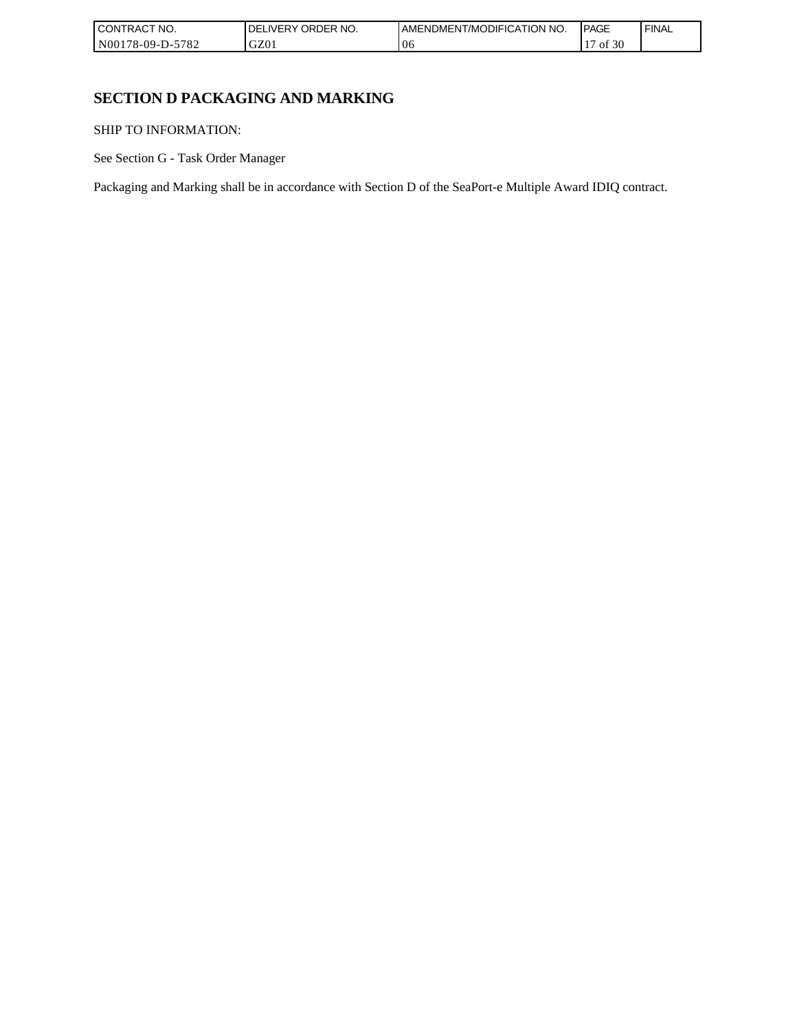| I CONTRACT NO.   | <b>ORDER</b><br>NO.<br>DELI`<br>_IVERY | AMENDMENT/MODIFICATION NO. | <b>IPAGE</b> | <b>FINAL</b> |
|------------------|----------------------------------------|----------------------------|--------------|--------------|
| N00178-09-D-5782 | GZ01                                   | 06                         | f 30<br>ΟĪ   |              |

٦

# **SECTION D PACKAGING AND MARKING**

SHIP TO INFORMATION:

See Section G - Task Order Manager

Packaging and Marking shall be in accordance with Section D of the SeaPort-e Multiple Award IDIQ contract.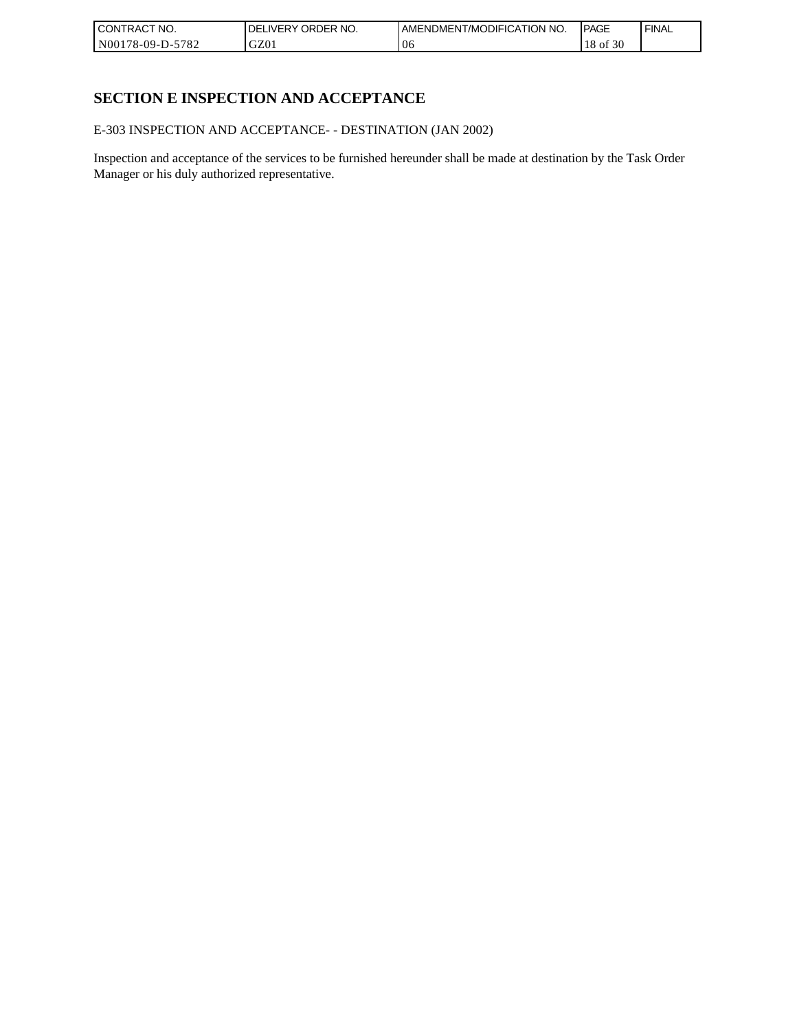| <b>CONTRACT NO.</b> | NO.<br>ORDER <sup>'</sup><br>.IVERY<br>DELI | I AMENDMENT/MODIFICATION NO. | <b>IPAGE</b>  | <b>FINAL</b> |
|---------------------|---------------------------------------------|------------------------------|---------------|--------------|
| N00178-09-D-5782    | GZ01                                        | U6                           | f 30<br>18 of |              |

# **SECTION E INSPECTION AND ACCEPTANCE**

E-303 INSPECTION AND ACCEPTANCE- - DESTINATION (JAN 2002)

Inspection and acceptance of the services to be furnished hereunder shall be made at destination by the Task Order Manager or his duly authorized representative.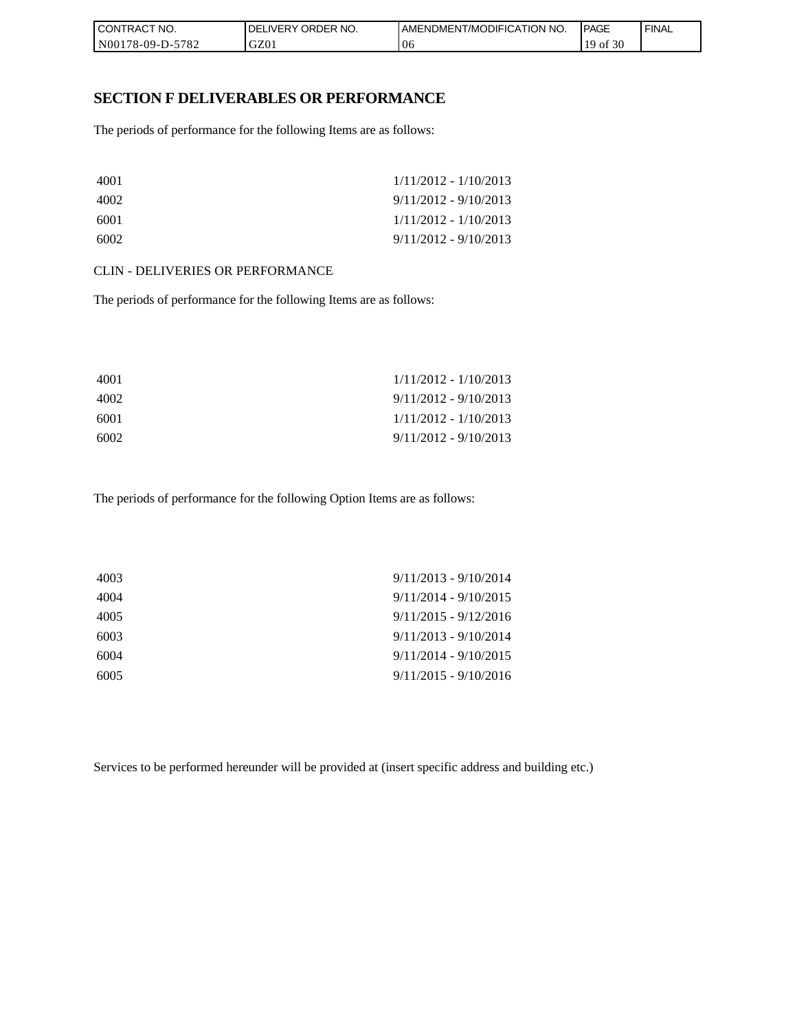| I CONTRACT NO.   | `NO.<br>DELIVERY ORDER I | <b>IAMENDMENT/MODIFICATION NO.</b> | <b>PAGE</b>  | ' FINAL |
|------------------|--------------------------|------------------------------------|--------------|---------|
| N00178-09-D-5782 | GZ01                     | 06                                 | f 30<br>` OI |         |

### **SECTION F DELIVERABLES OR PERFORMANCE**

The periods of performance for the following Items are as follows:

| 4001 | $1/11/2012 - 1/10/2013$ |
|------|-------------------------|
| 4002 | $9/11/2012 - 9/10/2013$ |
| 6001 | $1/11/2012 - 1/10/2013$ |
| 6002 | $9/11/2012 - 9/10/2013$ |

#### CLIN - DELIVERIES OR PERFORMANCE

The periods of performance for the following Items are as follows:

| 4001 | $1/11/2012 - 1/10/2013$ |
|------|-------------------------|
| 4002 | $9/11/2012 - 9/10/2013$ |
| 6001 | $1/11/2012 - 1/10/2013$ |
| 6002 | $9/11/2012 - 9/10/2013$ |

The periods of performance for the following Option Items are as follows:

| 4003 | $9/11/2013 - 9/10/2014$ |
|------|-------------------------|
| 4004 | $9/11/2014 - 9/10/2015$ |
| 4005 | $9/11/2015 - 9/12/2016$ |
| 6003 | $9/11/2013 - 9/10/2014$ |
| 6004 | $9/11/2014 - 9/10/2015$ |
| 6005 | $9/11/2015 - 9/10/2016$ |
|      |                         |

Services to be performed hereunder will be provided at (insert specific address and building etc.)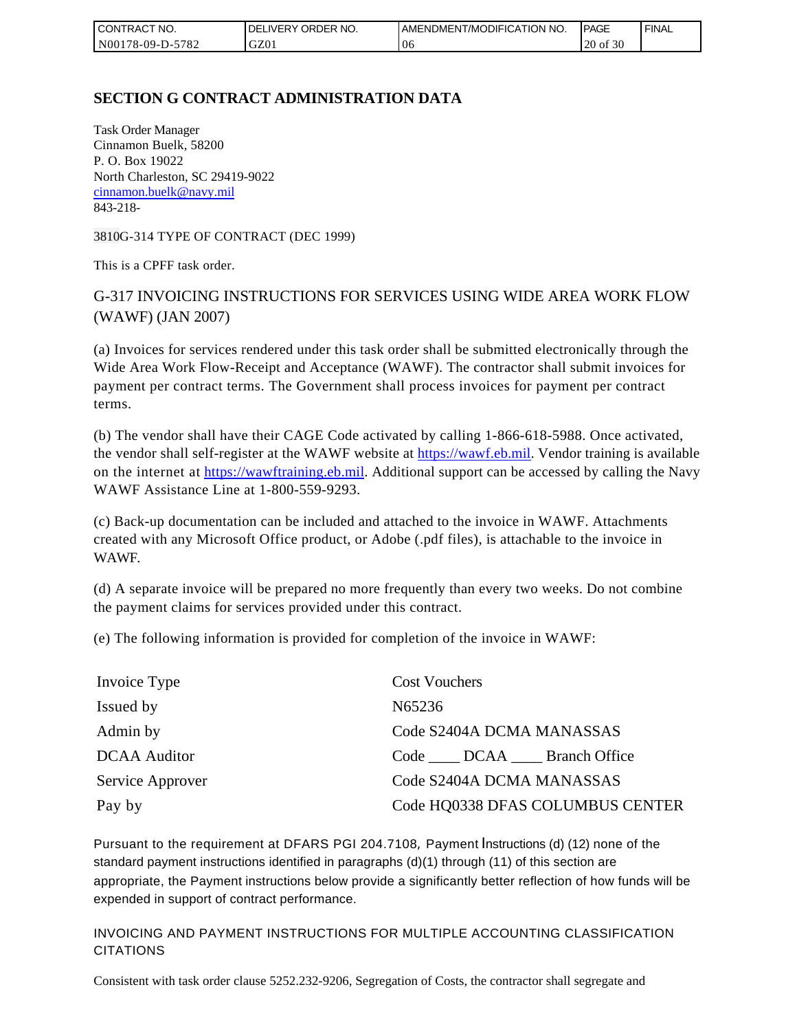| l CON <sup>-</sup><br>TRACT NO. | ORDER NO.<br><b>DELIVERY</b> | <b>IAMENDMENT/MODIFICATION NO.</b> | <b>IPAGE</b> | <b>FINAL</b> |
|---------------------------------|------------------------------|------------------------------------|--------------|--------------|
| N00178-09-D-5782                | GZ01                         | 06                                 | of 30<br>20  |              |

# **SECTION G CONTRACT ADMINISTRATION DATA**

Task Order Manager Cinnamon Buelk, 58200 P. O. Box 19022 North Charleston, SC 29419-9022 [cinnamon.buelk@navy.mil](mailto:cinnamon.buelk@navy.mil) 843-218-

3810G-314 TYPE OF CONTRACT (DEC 1999)

This is a CPFF task order.

# G-317 INVOICING INSTRUCTIONS FOR SERVICES USING WIDE AREA WORK FLOW (WAWF) (JAN 2007)

(a) Invoices for services rendered under this task order shall be submitted electronically through the Wide Area Work Flow-Receipt and Acceptance (WAWF). The contractor shall submit invoices for payment per contract terms. The Government shall process invoices for payment per contract terms.

(b) The vendor shall have their CAGE Code activated by calling 1-866-618-5988. Once activated, the vendor shall self-register at the WAWF website at [https://wawf.eb.mil.](https://wawf.eb.mil/) Vendor training is available on the internet at [https://wawftraining.eb.mil.](https://wawftraining.eb.mil/) Additional support can be accessed by calling the Navy WAWF Assistance Line at 1-800-559-9293.

(c) Back-up documentation can be included and attached to the invoice in WAWF. Attachments created with any Microsoft Office product, or Adobe (.pdf files), is attachable to the invoice in WAWF.

(d) A separate invoice will be prepared no more frequently than every two weeks. Do not combine the payment claims for services provided under this contract.

(e) The following information is provided for completion of the invoice in WAWF:

| Invoice Type        | <b>Cost Vouchers</b>             |
|---------------------|----------------------------------|
| Issued by           | N65236                           |
| Admin by            | Code S2404A DCMA MANASSAS        |
| <b>DCAA</b> Auditor | Code DCAA Branch Office          |
| Service Approver    | Code S2404A DCMA MANASSAS        |
| Pay by              | Code HQ0338 DFAS COLUMBUS CENTER |

Pursuant to the requirement at DFARS PGI 204.7108, Payment Instructions (d) (12) none of the standard payment instructions identified in paragraphs (d)(1) through (11) of this section are appropriate, the Payment instructions below provide a significantly better reflection of how funds will be expended in support of contract performance.

INVOICING AND PAYMENT INSTRUCTIONS FOR MULTIPLE ACCOUNTING CLASSIFICATION CITATIONS

Consistent with task order clause 5252.232-9206, Segregation of Costs, the contractor shall segregate and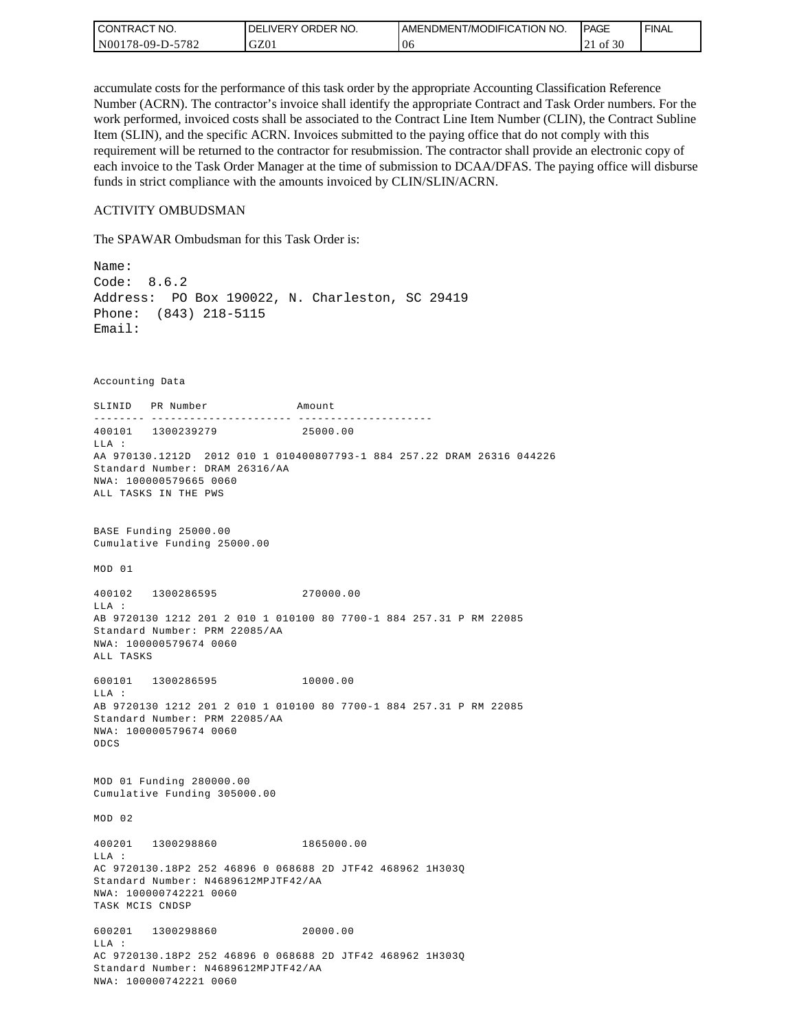| I CON'<br><b>'TRACT NO.</b> | <b>IDELIVERY ORDER NO.</b> | I AMENDMENT/MODIFICATION NO. | <b>IPAGE</b> | <b>FINAL</b> |
|-----------------------------|----------------------------|------------------------------|--------------|--------------|
| N00178-09-D-5782            | GZ01                       | 06                           | of 30        |              |

accumulate costs for the performance of this task order by the appropriate Accounting Classification Reference Number (ACRN). The contractor's invoice shall identify the appropriate Contract and Task Order numbers. For the work performed, invoiced costs shall be associated to the Contract Line Item Number (CLIN), the Contract Subline Item (SLIN), and the specific ACRN. Invoices submitted to the paying office that do not comply with this requirement will be returned to the contractor for resubmission. The contractor shall provide an electronic copy of each invoice to the Task Order Manager at the time of submission to DCAA/DFAS. The paying office will disburse funds in strict compliance with the amounts invoiced by CLIN/SLIN/ACRN.

#### ACTIVITY OMBUDSMAN

The SPAWAR Ombudsman for this Task Order is:

Name: Code: 8.6.2 Address: PO Box 190022, N. Charleston, SC 29419 Phone: (843) 218-5115 Email: Accounting Data SLINID PR Number Amount -------- ---------------------- ---------------------400101 1300239279 25000.00 LLA : AA 970130.1212D 2012 010 1 010400807793-1 884 257.22 DRAM 26316 044226 Standard Number: DRAM 26316/AA NWA: 100000579665 0060 ALL TASKS IN THE PWS BASE Funding 25000.00 Cumulative Funding 25000.00 MOD 01 400102 1300286595 270000.00  $T.T.A$  : AB 9720130 1212 201 2 010 1 010100 80 7700-1 884 257.31 P RM 22085 Standard Number: PRM 22085/AA NWA: 100000579674 0060 ALL TASKS 600101 1300286595 10000.00 LLA : AB 9720130 1212 201 2 010 1 010100 80 7700-1 884 257.31 P RM 22085 Standard Number: PRM 22085/AA NWA: 100000579674 0060 ODCS MOD 01 Funding 280000.00 Cumulative Funding 305000.00 MOD 02 400201 1300298860 1865000.00 LLA : AC 9720130.18P2 252 46896 0 068688 2D JTF42 468962 1H303Q Standard Number: N4689612MPJTF42/AA NWA: 100000742221 0060 TASK MCIS CNDSP 600201 1300298860 20000.00 LLA : AC 9720130.18P2 252 46896 0 068688 2D JTF42 468962 1H303Q Standard Number: N4689612MPJTF42/AA NWA: 100000742221 0060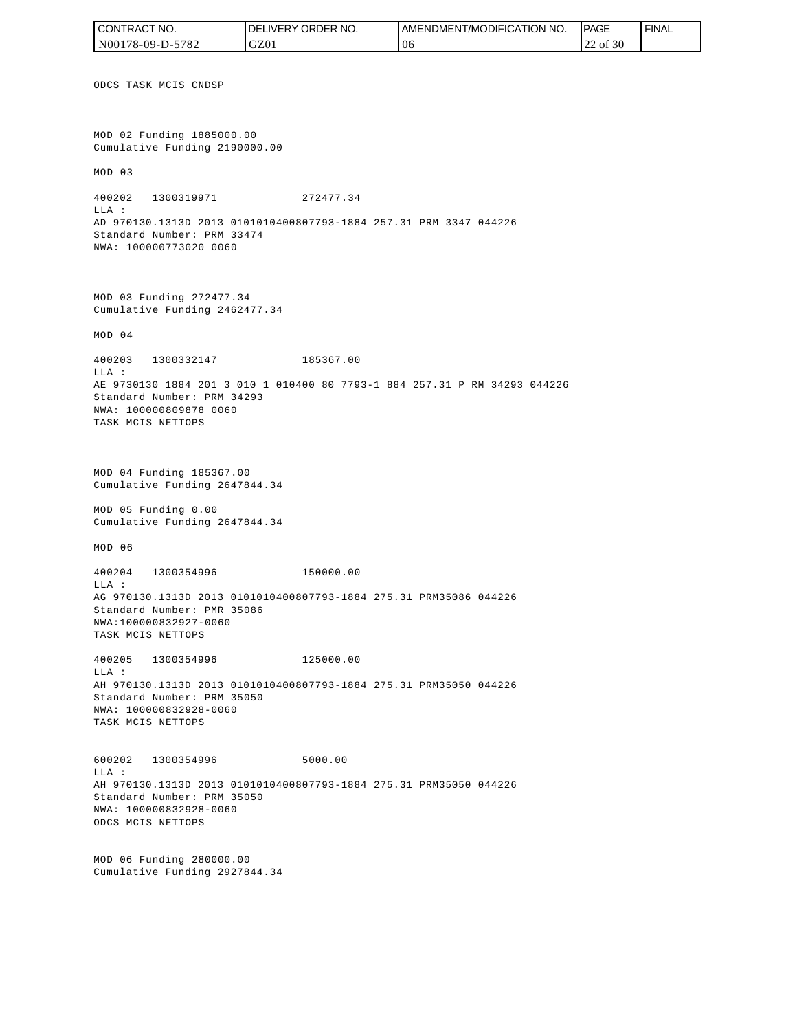ODCS TASK MCIS CNDSP MOD 02 Funding 1885000.00 Cumulative Funding 2190000.00 MOD 03 400202 1300319971 272477.34 LLA : AD 970130.1313D 2013 0101010400807793-1884 257.31 PRM 3347 044226 Standard Number: PRM 33474 NWA: 100000773020 0060 MOD 03 Funding 272477.34 Cumulative Funding 2462477.34 MOD 04 400203 1300332147 185367.00 LLA : AE 9730130 1884 201 3 010 1 010400 80 7793-1 884 257.31 P RM 34293 044226 Standard Number: PRM 34293 NWA: 100000809878 0060 TASK MCIS NETTOPS MOD 04 Funding 185367.00 Cumulative Funding 2647844.34 MOD 05 Funding 0.00 Cumulative Funding 2647844.34 MOD 06 400204 1300354996 150000.00 LLA : AG 970130.1313D 2013 0101010400807793-1884 275.31 PRM35086 044226 Standard Number: PMR 35086 NWA:100000832927-0060 TASK MCIS NETTOPS 400205 1300354996 125000.00 LLA : AH 970130.1313D 2013 0101010400807793-1884 275.31 PRM35050 044226 Standard Number: PRM 35050 NWA: 100000832928-0060 TASK MCIS NETTOPS 600202 1300354996 5000.00 LLA : AH 970130.1313D 2013 0101010400807793-1884 275.31 PRM35050 044226 Standard Number: PRM 35050 NWA: 100000832928-0060 ODCS MCIS NETTOPS MOD 06 Funding 280000.00 Cumulative Funding 2927844.34 CONTRACT NO. N00178-09-D-5782 DELIVERY ORDER NO. GZ01 AMENDMENT/MODIFICATION NO. 06 **PAGE**  22 of 30 FINAL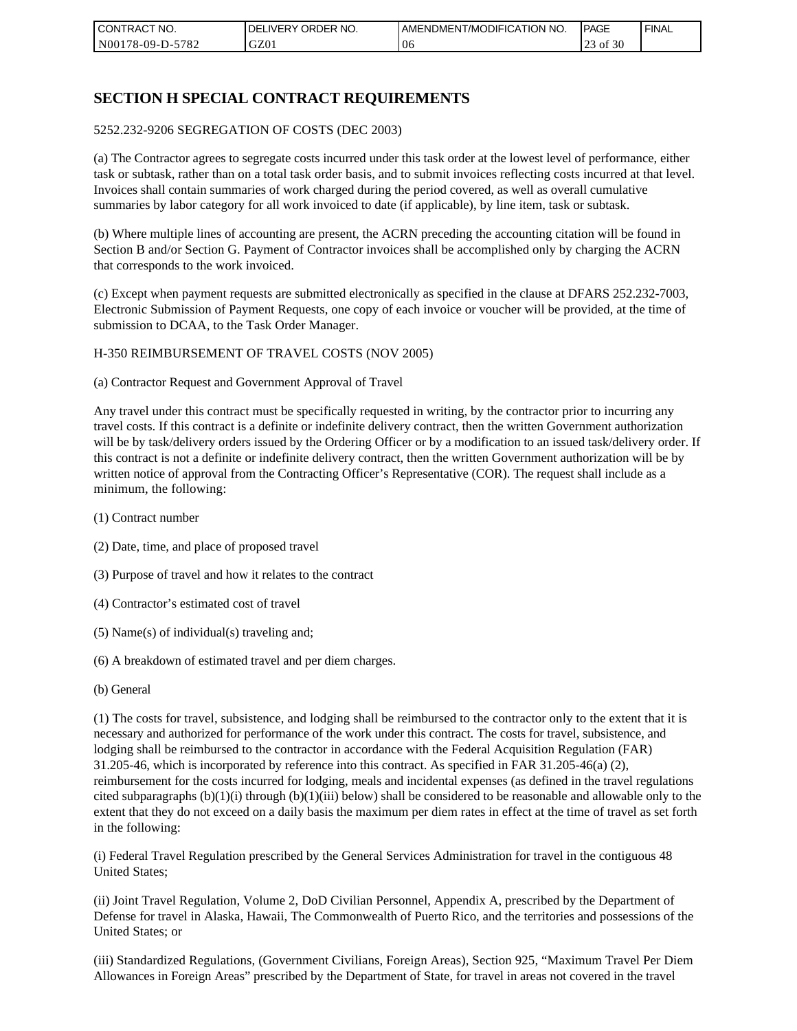| CONTRACT NO.            | ORDER NO.<br><b>DELIVERY</b> | <b>IAMENDMENT/MODIFICATION NO.</b> | <b>IPAGE</b>          | <b>FINAL</b> |
|-------------------------|------------------------------|------------------------------------|-----------------------|--------------|
| 5782<br>  N00178-09-D-5 | GZ01                         | 06                                 | of 30<br>$\cap$<br>رے |              |

# **SECTION H SPECIAL CONTRACT REQUIREMENTS**

#### 5252.232-9206 SEGREGATION OF COSTS (DEC 2003)

(a) The Contractor agrees to segregate costs incurred under this task order at the lowest level of performance, either task or subtask, rather than on a total task order basis, and to submit invoices reflecting costs incurred at that level. Invoices shall contain summaries of work charged during the period covered, as well as overall cumulative summaries by labor category for all work invoiced to date (if applicable), by line item, task or subtask.

(b) Where multiple lines of accounting are present, the ACRN preceding the accounting citation will be found in Section B and/or Section G. Payment of Contractor invoices shall be accomplished only by charging the ACRN that corresponds to the work invoiced.

(c) Except when payment requests are submitted electronically as specified in the clause at DFARS 252.232-7003, Electronic Submission of Payment Requests, one copy of each invoice or voucher will be provided, at the time of submission to DCAA, to the Task Order Manager.

#### H-350 REIMBURSEMENT OF TRAVEL COSTS (NOV 2005)

(a) Contractor Request and Government Approval of Travel

Any travel under this contract must be specifically requested in writing, by the contractor prior to incurring any travel costs. If this contract is a definite or indefinite delivery contract, then the written Government authorization will be by task/delivery orders issued by the Ordering Officer or by a modification to an issued task/delivery order. If this contract is not a definite or indefinite delivery contract, then the written Government authorization will be by written notice of approval from the Contracting Officer's Representative (COR). The request shall include as a minimum, the following:

- (1) Contract number
- (2) Date, time, and place of proposed travel
- (3) Purpose of travel and how it relates to the contract
- (4) Contractor's estimated cost of travel
- (5) Name(s) of individual(s) traveling and;
- (6) A breakdown of estimated travel and per diem charges.
- (b) General

(1) The costs for travel, subsistence, and lodging shall be reimbursed to the contractor only to the extent that it is necessary and authorized for performance of the work under this contract. The costs for travel, subsistence, and lodging shall be reimbursed to the contractor in accordance with the Federal Acquisition Regulation (FAR) 31.205-46, which is incorporated by reference into this contract. As specified in FAR 31.205-46(a) (2), reimbursement for the costs incurred for lodging, meals and incidental expenses (as defined in the travel regulations cited subparagraphs  $(b)(1)(i)$  through  $(b)(1)(iii)$  below) shall be considered to be reasonable and allowable only to the extent that they do not exceed on a daily basis the maximum per diem rates in effect at the time of travel as set forth in the following:

(i) Federal Travel Regulation prescribed by the General Services Administration for travel in the contiguous 48 United States;

(ii) Joint Travel Regulation, Volume 2, DoD Civilian Personnel, Appendix A, prescribed by the Department of Defense for travel in Alaska, Hawaii, The Commonwealth of Puerto Rico, and the territories and possessions of the United States; or

(iii) Standardized Regulations, (Government Civilians, Foreign Areas), Section 925, "Maximum Travel Per Diem Allowances in Foreign Areas" prescribed by the Department of State, for travel in areas not covered in the travel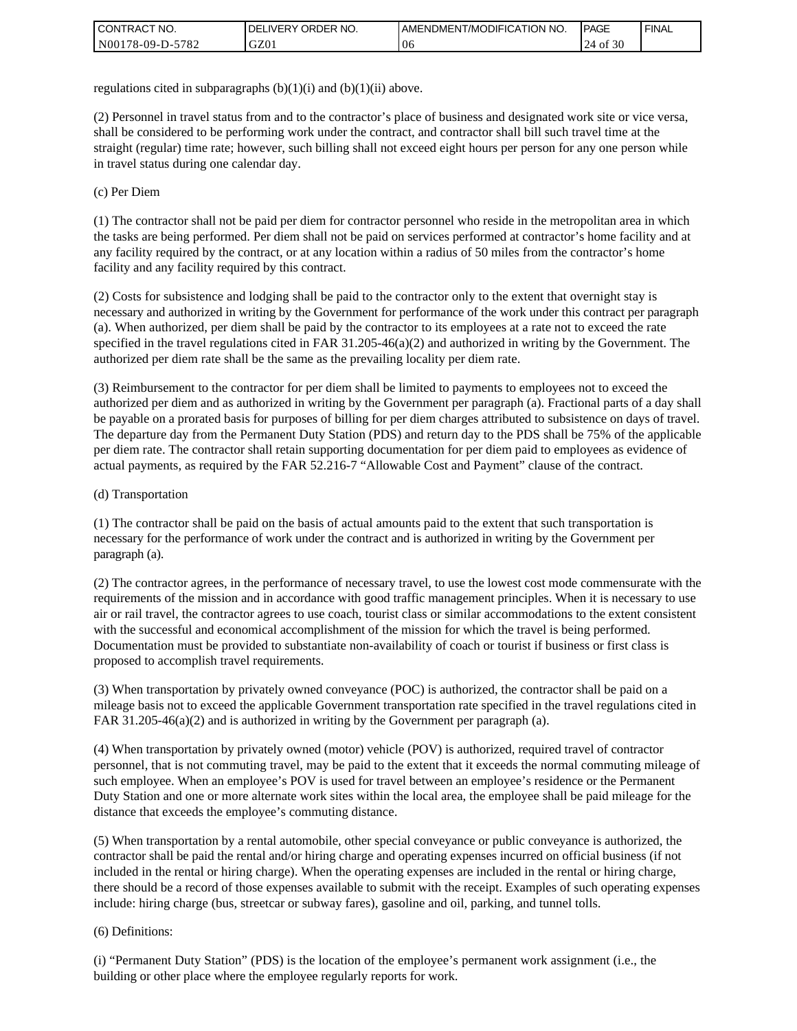| I CONTRACT NO.   | ORDER NO.<br><b>DELIVERY</b> | <b>JAMENDMENT/MODIFICATION NO.</b> | <b>IPAGE</b>            | <b>FINAL</b> |
|------------------|------------------------------|------------------------------------|-------------------------|--------------|
| N00178-09-D-5782 | GZ01                         | 06                                 | $\cdot$ 30<br>24<br>∙of |              |

regulations cited in subparagraphs  $(b)(1)(i)$  and  $(b)(1)(ii)$  above.

(2) Personnel in travel status from and to the contractor's place of business and designated work site or vice versa, shall be considered to be performing work under the contract, and contractor shall bill such travel time at the straight (regular) time rate; however, such billing shall not exceed eight hours per person for any one person while in travel status during one calendar day.

(c) Per Diem

(1) The contractor shall not be paid per diem for contractor personnel who reside in the metropolitan area in which the tasks are being performed. Per diem shall not be paid on services performed at contractor's home facility and at any facility required by the contract, or at any location within a radius of 50 miles from the contractor's home facility and any facility required by this contract.

(2) Costs for subsistence and lodging shall be paid to the contractor only to the extent that overnight stay is necessary and authorized in writing by the Government for performance of the work under this contract per paragraph (a). When authorized, per diem shall be paid by the contractor to its employees at a rate not to exceed the rate specified in the travel regulations cited in FAR 31.205-46(a)(2) and authorized in writing by the Government. The authorized per diem rate shall be the same as the prevailing locality per diem rate.

(3) Reimbursement to the contractor for per diem shall be limited to payments to employees not to exceed the authorized per diem and as authorized in writing by the Government per paragraph (a). Fractional parts of a day shall be payable on a prorated basis for purposes of billing for per diem charges attributed to subsistence on days of travel. The departure day from the Permanent Duty Station (PDS) and return day to the PDS shall be 75% of the applicable per diem rate. The contractor shall retain supporting documentation for per diem paid to employees as evidence of actual payments, as required by the FAR 52.216-7 "Allowable Cost and Payment" clause of the contract.

#### (d) Transportation

(1) The contractor shall be paid on the basis of actual amounts paid to the extent that such transportation is necessary for the performance of work under the contract and is authorized in writing by the Government per paragraph (a).

(2) The contractor agrees, in the performance of necessary travel, to use the lowest cost mode commensurate with the requirements of the mission and in accordance with good traffic management principles. When it is necessary to use air or rail travel, the contractor agrees to use coach, tourist class or similar accommodations to the extent consistent with the successful and economical accomplishment of the mission for which the travel is being performed. Documentation must be provided to substantiate non-availability of coach or tourist if business or first class is proposed to accomplish travel requirements.

(3) When transportation by privately owned conveyance (POC) is authorized, the contractor shall be paid on a mileage basis not to exceed the applicable Government transportation rate specified in the travel regulations cited in FAR 31.205-46(a)(2) and is authorized in writing by the Government per paragraph (a).

(4) When transportation by privately owned (motor) vehicle (POV) is authorized, required travel of contractor personnel, that is not commuting travel, may be paid to the extent that it exceeds the normal commuting mileage of such employee. When an employee's POV is used for travel between an employee's residence or the Permanent Duty Station and one or more alternate work sites within the local area, the employee shall be paid mileage for the distance that exceeds the employee's commuting distance.

(5) When transportation by a rental automobile, other special conveyance or public conveyance is authorized, the contractor shall be paid the rental and/or hiring charge and operating expenses incurred on official business (if not included in the rental or hiring charge). When the operating expenses are included in the rental or hiring charge, there should be a record of those expenses available to submit with the receipt. Examples of such operating expenses include: hiring charge (bus, streetcar or subway fares), gasoline and oil, parking, and tunnel tolls.

#### (6) Definitions:

(i) "Permanent Duty Station" (PDS) is the location of the employee's permanent work assignment (i.e., the building or other place where the employee regularly reports for work.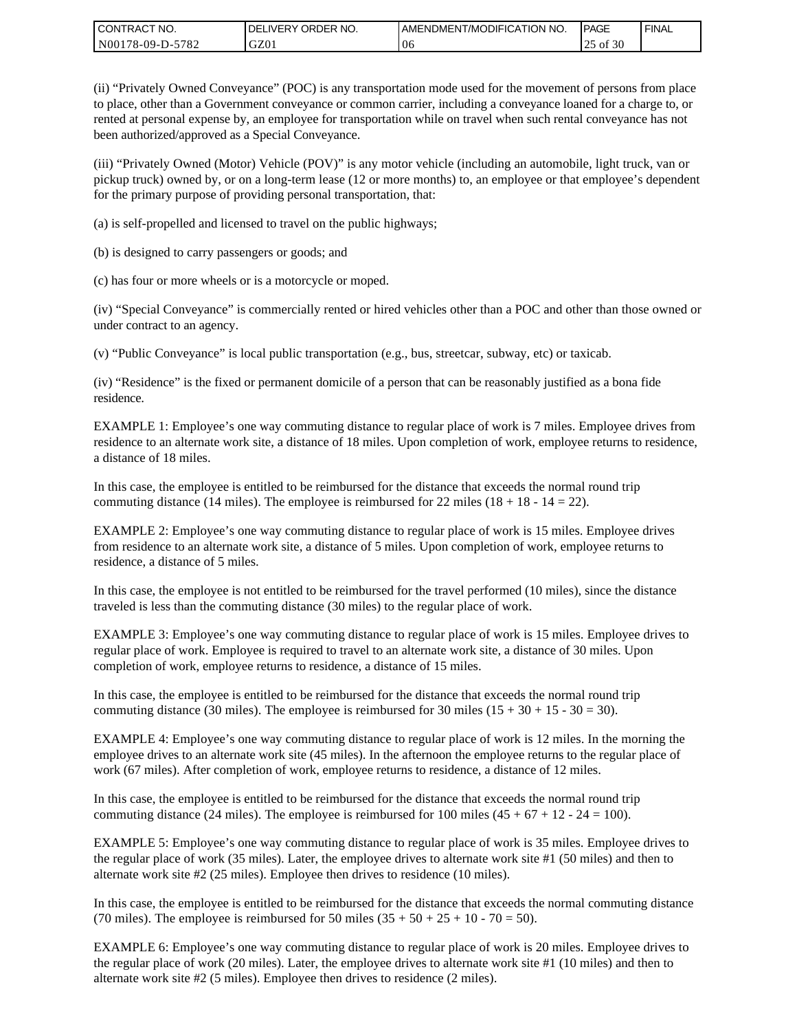| <b>CONTRACT NO.</b> | DELIVERY ORDER NO. | <b>I AMENDMENT/MODIFICATION NO.</b> | <b>PAGE</b> | <b>FINAL</b> |
|---------------------|--------------------|-------------------------------------|-------------|--------------|
| N00178-09-D-5782    | GZ01               | 06                                  | of 30<br>رے |              |

(ii) "Privately Owned Conveyance" (POC) is any transportation mode used for the movement of persons from place to place, other than a Government conveyance or common carrier, including a conveyance loaned for a charge to, or rented at personal expense by, an employee for transportation while on travel when such rental conveyance has not been authorized/approved as a Special Conveyance.

(iii) "Privately Owned (Motor) Vehicle (POV)" is any motor vehicle (including an automobile, light truck, van or pickup truck) owned by, or on a long-term lease (12 or more months) to, an employee or that employee's dependent for the primary purpose of providing personal transportation, that:

(a) is self-propelled and licensed to travel on the public highways;

(b) is designed to carry passengers or goods; and

(c) has four or more wheels or is a motorcycle or moped.

(iv) "Special Conveyance" is commercially rented or hired vehicles other than a POC and other than those owned or under contract to an agency.

(v) "Public Conveyance" is local public transportation (e.g., bus, streetcar, subway, etc) or taxicab.

(iv) "Residence" is the fixed or permanent domicile of a person that can be reasonably justified as a bona fide residence.

EXAMPLE 1: Employee's one way commuting distance to regular place of work is 7 miles. Employee drives from residence to an alternate work site, a distance of 18 miles. Upon completion of work, employee returns to residence, a distance of 18 miles.

In this case, the employee is entitled to be reimbursed for the distance that exceeds the normal round trip commuting distance (14 miles). The employee is reimbursed for 22 miles (18 + 18 - 14 = 22).

EXAMPLE 2: Employee's one way commuting distance to regular place of work is 15 miles. Employee drives from residence to an alternate work site, a distance of 5 miles. Upon completion of work, employee returns to residence, a distance of 5 miles.

In this case, the employee is not entitled to be reimbursed for the travel performed (10 miles), since the distance traveled is less than the commuting distance (30 miles) to the regular place of work.

EXAMPLE 3: Employee's one way commuting distance to regular place of work is 15 miles. Employee drives to regular place of work. Employee is required to travel to an alternate work site, a distance of 30 miles. Upon completion of work, employee returns to residence, a distance of 15 miles.

In this case, the employee is entitled to be reimbursed for the distance that exceeds the normal round trip commuting distance (30 miles). The employee is reimbursed for 30 miles  $(15 + 30 + 15 - 30 = 30)$ .

EXAMPLE 4: Employee's one way commuting distance to regular place of work is 12 miles. In the morning the employee drives to an alternate work site (45 miles). In the afternoon the employee returns to the regular place of work (67 miles). After completion of work, employee returns to residence, a distance of 12 miles.

In this case, the employee is entitled to be reimbursed for the distance that exceeds the normal round trip commuting distance (24 miles). The employee is reimbursed for 100 miles  $(45 + 67 + 12 - 24 = 100)$ .

EXAMPLE 5: Employee's one way commuting distance to regular place of work is 35 miles. Employee drives to the regular place of work (35 miles). Later, the employee drives to alternate work site #1 (50 miles) and then to alternate work site #2 (25 miles). Employee then drives to residence (10 miles).

In this case, the employee is entitled to be reimbursed for the distance that exceeds the normal commuting distance (70 miles). The employee is reimbursed for 50 miles  $(35 + 50 + 25 + 10 - 70 = 50)$ .

EXAMPLE 6: Employee's one way commuting distance to regular place of work is 20 miles. Employee drives to the regular place of work (20 miles). Later, the employee drives to alternate work site #1 (10 miles) and then to alternate work site #2 (5 miles). Employee then drives to residence (2 miles).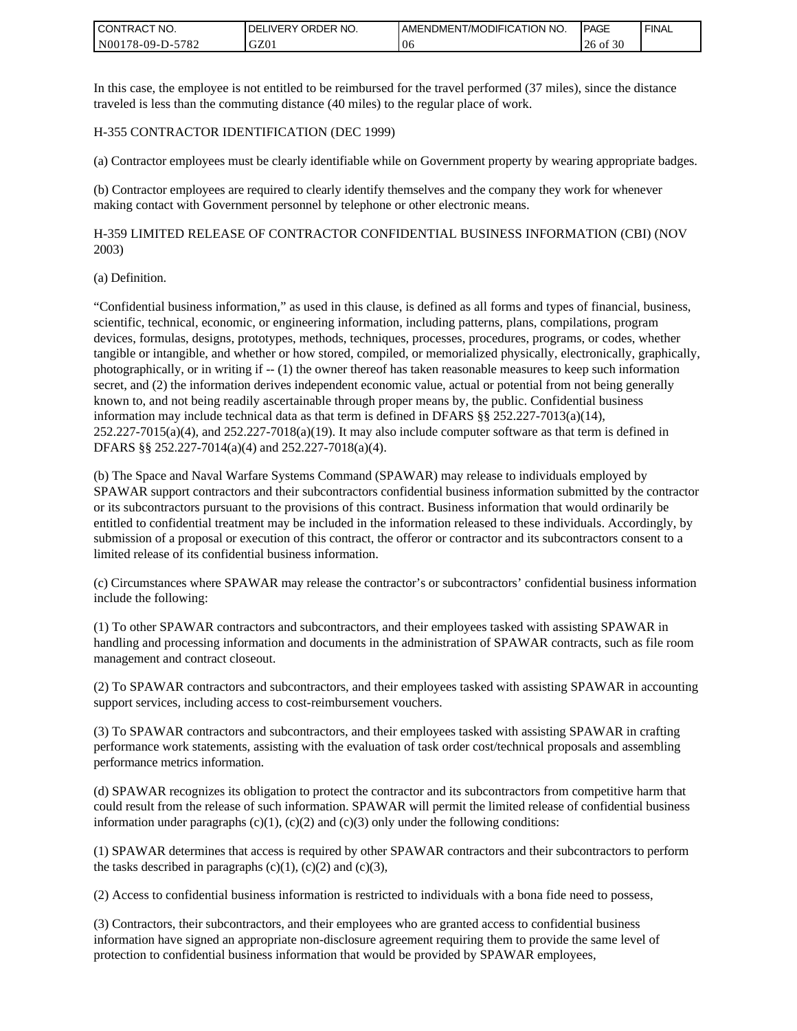| <b>CONTRACT NO.</b> | <b>IDELIVERY ORDER NO.</b> | I AMENDMENT/MODIFICATION NO. | <b>PAGE</b> | <b>FINAL</b> |
|---------------------|----------------------------|------------------------------|-------------|--------------|
| N00178-09-D-5782    | GZ0 <sub>1</sub>           | ' Ot                         | of 30<br>26 |              |

In this case, the employee is not entitled to be reimbursed for the travel performed (37 miles), since the distance traveled is less than the commuting distance (40 miles) to the regular place of work.

#### H-355 CONTRACTOR IDENTIFICATION (DEC 1999)

(a) Contractor employees must be clearly identifiable while on Government property by wearing appropriate badges.

(b) Contractor employees are required to clearly identify themselves and the company they work for whenever making contact with Government personnel by telephone or other electronic means.

H-359 LIMITED RELEASE OF CONTRACTOR CONFIDENTIAL BUSINESS INFORMATION (CBI) (NOV 2003)

#### (a) Definition.

"Confidential business information," as used in this clause, is defined as all forms and types of financial, business, scientific, technical, economic, or engineering information, including patterns, plans, compilations, program devices, formulas, designs, prototypes, methods, techniques, processes, procedures, programs, or codes, whether tangible or intangible, and whether or how stored, compiled, or memorialized physically, electronically, graphically, photographically, or in writing if -- (1) the owner thereof has taken reasonable measures to keep such information secret, and (2) the information derives independent economic value, actual or potential from not being generally known to, and not being readily ascertainable through proper means by, the public. Confidential business information may include technical data as that term is defined in DFARS §§ 252.227-7013(a)(14),  $252.227-7015(a)(4)$ , and  $252.227-7018(a)(19)$ . It may also include computer software as that term is defined in DFARS §§ 252.227-7014(a)(4) and 252.227-7018(a)(4). **CONTRACT NO.** (2012) 202227:701 Solution to confidential business information to confidential business information that we are also that would be provided by SPAWAR employees in a matrice of the state of the state of the

(b) The Space and Naval Warfare Systems Command (SPAWAR) may release to individuals employed by SPAWAR support contractors and their subcontractors confidential business information submitted by the contractor or its subcontractors pursuant to the provisions of this contract. Business information that would ordinarily be entitled to confidential treatment may be included in the information released to these individuals. Accordingly, by submission of a proposal or execution of this contract, the offeror or contractor and its subcontractors consent to a limited release of its confidential business information.

(c) Circumstances where SPAWAR may release the contractor's or subcontractors' confidential business information include the following:

(1) To other SPAWAR contractors and subcontractors, and their employees tasked with assisting SPAWAR in handling and processing information and documents in the administration of SPAWAR contracts, such as file room management and contract closeout.

(2) To SPAWAR contractors and subcontractors, and their employees tasked with assisting SPAWAR in accounting support services, including access to cost-reimbursement vouchers.

(3) To SPAWAR contractors and subcontractors, and their employees tasked with assisting SPAWAR in crafting performance work statements, assisting with the evaluation of task order cost/technical proposals and assembling performance metrics information.

(d) SPAWAR recognizes its obligation to protect the contractor and its subcontractors from competitive harm that could result from the release of such information. SPAWAR will permit the limited release of confidential business information under paragraphs  $(c)(1)$ ,  $(c)(2)$  and  $(c)(3)$  only under the following conditions:

(1) SPAWAR determines that access is required by other SPAWAR contractors and their subcontractors to perform the tasks described in paragraphs  $(c)(1)$ ,  $(c)(2)$  and  $(c)(3)$ ,

(2) Access to confidential business information is restricted to individuals with a bona fide need to possess,

(3) Contractors, their subcontractors, and their employees who are granted access to confidential business information have signed an appropriate non-disclosure agreement requiring them to provide the same level of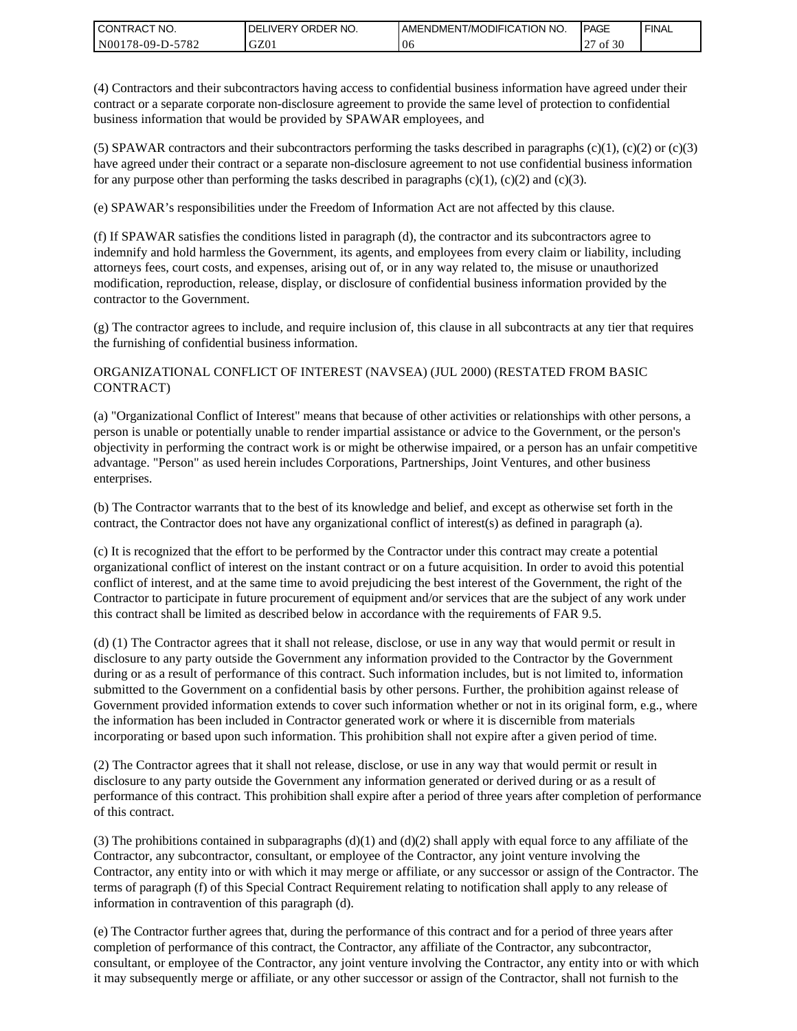| I CONTRACT NO.   | ORDER NO.<br><b>DELIVERY</b> | AMENDMENT/MODIFICATION NO. | <b>IPAGE</b> | <b>FINAL</b> |
|------------------|------------------------------|----------------------------|--------------|--------------|
| N00178-09-D-5782 | GZ01                         | 06                         | of 30        |              |

(4) Contractors and their subcontractors having access to confidential business information have agreed under their contract or a separate corporate non-disclosure agreement to provide the same level of protection to confidential business information that would be provided by SPAWAR employees, and

(5) SPAWAR contractors and their subcontractors performing the tasks described in paragraphs  $(c)(1)$ ,  $(c)(2)$  or  $(c)(3)$ have agreed under their contract or a separate non-disclosure agreement to not use confidential business information for any purpose other than performing the tasks described in paragraphs  $(c)(1)$ ,  $(c)(2)$  and  $(c)(3)$ .

(e) SPAWAR's responsibilities under the Freedom of Information Act are not affected by this clause.

(f) If SPAWAR satisfies the conditions listed in paragraph (d), the contractor and its subcontractors agree to indemnify and hold harmless the Government, its agents, and employees from every claim or liability, including attorneys fees, court costs, and expenses, arising out of, or in any way related to, the misuse or unauthorized modification, reproduction, release, display, or disclosure of confidential business information provided by the contractor to the Government.

(g) The contractor agrees to include, and require inclusion of, this clause in all subcontracts at any tier that requires the furnishing of confidential business information.

### ORGANIZATIONAL CONFLICT OF INTEREST (NAVSEA) (JUL 2000) (RESTATED FROM BASIC CONTRACT)

(a) "Organizational Conflict of Interest" means that because of other activities or relationships with other persons, a person is unable or potentially unable to render impartial assistance or advice to the Government, or the person's objectivity in performing the contract work is or might be otherwise impaired, or a person has an unfair competitive advantage. "Person" as used herein includes Corporations, Partnerships, Joint Ventures, and other business enterprises.

(b) The Contractor warrants that to the best of its knowledge and belief, and except as otherwise set forth in the contract, the Contractor does not have any organizational conflict of interest(s) as defined in paragraph (a).

(c) It is recognized that the effort to be performed by the Contractor under this contract may create a potential organizational conflict of interest on the instant contract or on a future acquisition. In order to avoid this potential conflict of interest, and at the same time to avoid prejudicing the best interest of the Government, the right of the Contractor to participate in future procurement of equipment and/or services that are the subject of any work under this contract shall be limited as described below in accordance with the requirements of FAR 9.5.

(d) (1) The Contractor agrees that it shall not release, disclose, or use in any way that would permit or result in disclosure to any party outside the Government any information provided to the Contractor by the Government during or as a result of performance of this contract. Such information includes, but is not limited to, information submitted to the Government on a confidential basis by other persons. Further, the prohibition against release of Government provided information extends to cover such information whether or not in its original form, e.g., where the information has been included in Contractor generated work or where it is discernible from materials incorporating or based upon such information. This prohibition shall not expire after a given period of time.

(2) The Contractor agrees that it shall not release, disclose, or use in any way that would permit or result in disclosure to any party outside the Government any information generated or derived during or as a result of performance of this contract. This prohibition shall expire after a period of three years after completion of performance of this contract.

(3) The prohibitions contained in subparagraphs  $(d)(1)$  and  $(d)(2)$  shall apply with equal force to any affiliate of the Contractor, any subcontractor, consultant, or employee of the Contractor, any joint venture involving the Contractor, any entity into or with which it may merge or affiliate, or any successor or assign of the Contractor. The terms of paragraph (f) of this Special Contract Requirement relating to notification shall apply to any release of information in contravention of this paragraph (d).

(e) The Contractor further agrees that, during the performance of this contract and for a period of three years after completion of performance of this contract, the Contractor, any affiliate of the Contractor, any subcontractor, consultant, or employee of the Contractor, any joint venture involving the Contractor, any entity into or with which it may subsequently merge or affiliate, or any other successor or assign of the Contractor, shall not furnish to the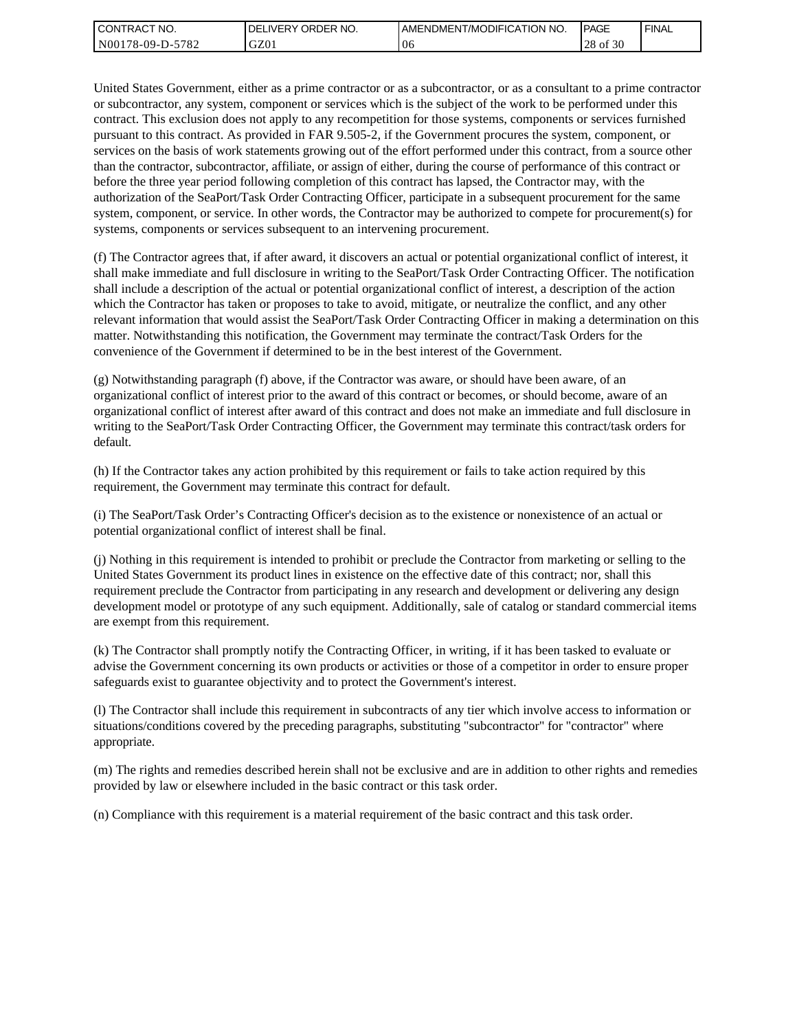| I CONTRACT NO.   | ' ORDER NO.<br>DEL<br>_IVERY | I AMENDMENT/MODIFICATION NO. | <b>IPAGE</b>        | <b>FINAL</b> |
|------------------|------------------------------|------------------------------|---------------------|--------------|
| N00178-09-D-5782 | GZ01                         | -U6                          | c no<br>28<br>of 30 |              |

United States Government, either as a prime contractor or as a subcontractor, or as a consultant to a prime contractor or subcontractor, any system, component or services which is the subject of the work to be performed under this contract. This exclusion does not apply to any recompetition for those systems, components or services furnished pursuant to this contract. As provided in FAR 9.505-2, if the Government procures the system, component, or services on the basis of work statements growing out of the effort performed under this contract, from a source other than the contractor, subcontractor, affiliate, or assign of either, during the course of performance of this contract or before the three year period following completion of this contract has lapsed, the Contractor may, with the authorization of the SeaPort/Task Order Contracting Officer, participate in a subsequent procurement for the same system, component, or service. In other words, the Contractor may be authorized to compete for procurement(s) for systems, components or services subsequent to an intervening procurement.

(f) The Contractor agrees that, if after award, it discovers an actual or potential organizational conflict of interest, it shall make immediate and full disclosure in writing to the SeaPort/Task Order Contracting Officer. The notification shall include a description of the actual or potential organizational conflict of interest, a description of the action which the Contractor has taken or proposes to take to avoid, mitigate, or neutralize the conflict, and any other relevant information that would assist the SeaPort/Task Order Contracting Officer in making a determination on this matter. Notwithstanding this notification, the Government may terminate the contract/Task Orders for the convenience of the Government if determined to be in the best interest of the Government.

(g) Notwithstanding paragraph (f) above, if the Contractor was aware, or should have been aware, of an organizational conflict of interest prior to the award of this contract or becomes, or should become, aware of an organizational conflict of interest after award of this contract and does not make an immediate and full disclosure in writing to the SeaPort/Task Order Contracting Officer, the Government may terminate this contract/task orders for default.

(h) If the Contractor takes any action prohibited by this requirement or fails to take action required by this requirement, the Government may terminate this contract for default.

(i) The SeaPort/Task Order's Contracting Officer's decision as to the existence or nonexistence of an actual or potential organizational conflict of interest shall be final.

(j) Nothing in this requirement is intended to prohibit or preclude the Contractor from marketing or selling to the United States Government its product lines in existence on the effective date of this contract; nor, shall this requirement preclude the Contractor from participating in any research and development or delivering any design development model or prototype of any such equipment. Additionally, sale of catalog or standard commercial items are exempt from this requirement.

(k) The Contractor shall promptly notify the Contracting Officer, in writing, if it has been tasked to evaluate or advise the Government concerning its own products or activities or those of a competitor in order to ensure proper safeguards exist to guarantee objectivity and to protect the Government's interest.

(l) The Contractor shall include this requirement in subcontracts of any tier which involve access to information or situations/conditions covered by the preceding paragraphs, substituting "subcontractor" for "contractor" where appropriate.

(m) The rights and remedies described herein shall not be exclusive and are in addition to other rights and remedies provided by law or elsewhere included in the basic contract or this task order.

(n) Compliance with this requirement is a material requirement of the basic contract and this task order.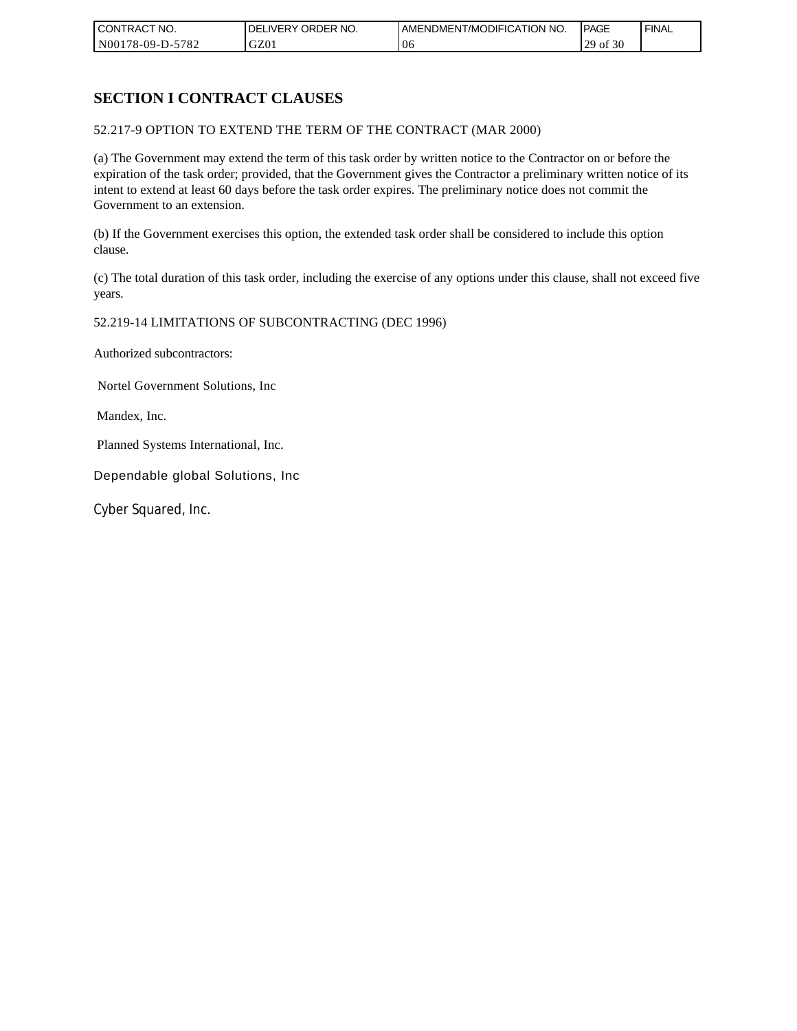| CONTRACT NO.     | NO.<br>ORDER<br>DELI<br>.IVERY | AMENDMENT/MODIFICATION NO. | <b>IPAGE</b>            | <b>FINAL</b> |
|------------------|--------------------------------|----------------------------|-------------------------|--------------|
| N00178-09-D-5782 | GZ01                           | 06                         | f 30<br>ാവ<br>`01<br>رے |              |

# **SECTION I CONTRACT CLAUSES**

### 52.217-9 OPTION TO EXTEND THE TERM OF THE CONTRACT (MAR 2000)

(a) The Government may extend the term of this task order by written notice to the Contractor on or before the expiration of the task order; provided, that the Government gives the Contractor a preliminary written notice of its intent to extend at least 60 days before the task order expires. The preliminary notice does not commit the Government to an extension.

(b) If the Government exercises this option, the extended task order shall be considered to include this option clause.

(c) The total duration of this task order, including the exercise of any options under this clause, shall not exceed five years.

#### 52.219-14 LIMITATIONS OF SUBCONTRACTING (DEC 1996)

Authorized subcontractors:

Nortel Government Solutions, Inc

Mandex, Inc.

Planned Systems International, Inc.

Dependable global Solutions, Inc

Cyber Squared, Inc.